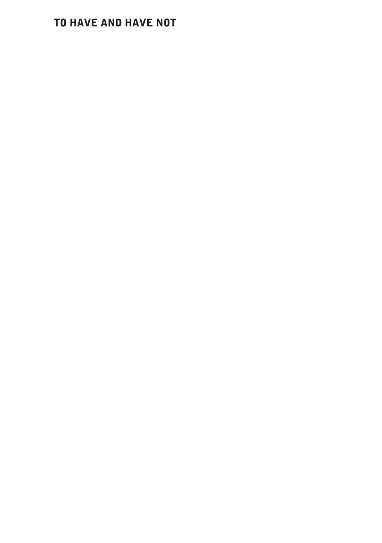## TO HAVE AND HAVE NOT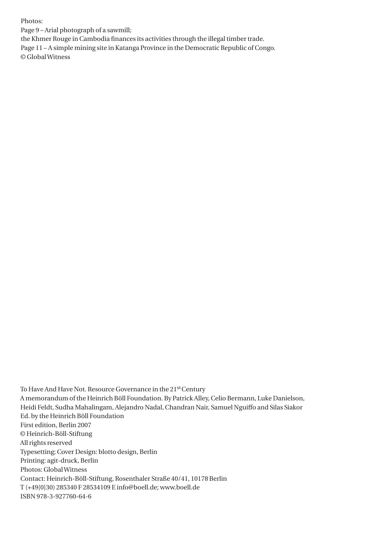Photos:

Page 9 – Arial photograph of a sawmill;

the Khmer Rouge in Cambodia finances its activities through the illegal timber trade.

Page 11 – A simple mining site in Katanga Province in the Democratic Republic of Congo. © Global Witness

To Have And Have Not. Resource Governance in the 21st Century A memorandum of the Heinrich Böll Foundation. By Patrick Alley, Celio Bermann, Luke Danielson, Heidi Feldt, Sudha Mahalingam, Alejandro Nadal, Chandran Nair, Samuel Nguiffo and Silas Siakor Ed. by the Heinrich Böll Foundation First edition, Berlin 2007 © Heinrich-Böll-Stiftung All rights reserved Typesetting; Cover Design: blotto design, Berlin Printing: agit-druck, Berlin Photos: Global Witness Contact: Heinrich-Böll-Stiftung, Rosenthaler Straße 40/41, 10178 Berlin T (+49[0]30) 285340 F 28534109 E info@boell.de; www.boell.de ISBN 978-3-927760-64-6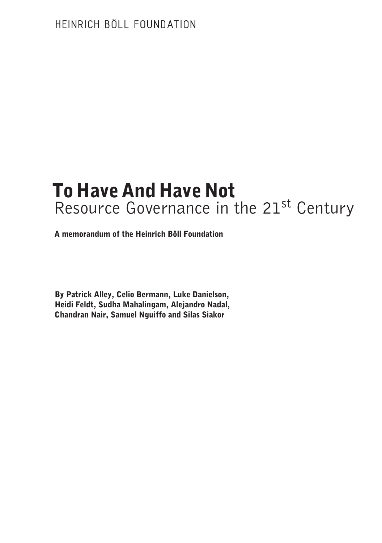# To Have And Have Not Resource Governance in the 21<sup>st</sup> Century

A memorandum of the Heinrich Böll Foundation

By Patrick Alley, Celio Bermann, Luke Danielson, Heidi Feldt, Sudha Mahalingam, Alejandro Nadal, Chandran Nair, Samuel Nguiffo and Silas Siakor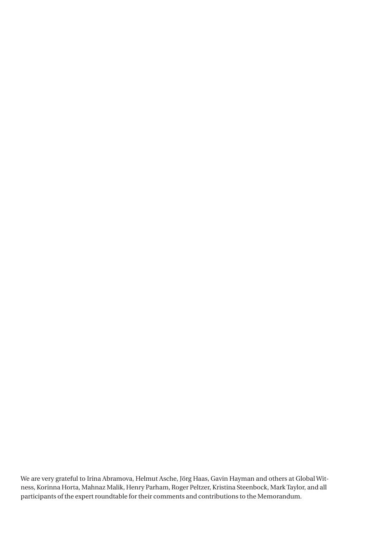We are very grateful to Irina Abramova, Helmut Asche, Jörg Haas, Gavin Hayman and others at Global Witness, Korinna Horta, Mahnaz Malik, Henry Parham, Roger Peltzer, Kristina Steenbock, Mark Taylor, and all participants of the expert roundtable for their comments and contributions to the Memorandum.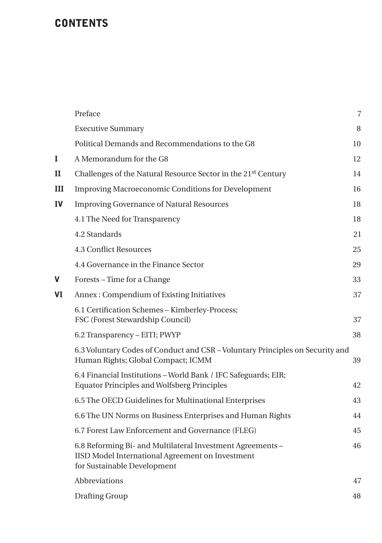## **CONTENTS**

|              | Preface                                                                                                                                       | $\overline{7}$ |
|--------------|-----------------------------------------------------------------------------------------------------------------------------------------------|----------------|
|              | <b>Executive Summary</b>                                                                                                                      | 8              |
|              | Political Demands and Recommendations to the G8                                                                                               | 10             |
| L            | A Memorandum for the G8                                                                                                                       | 12             |
| $\mathbf{I}$ | Challenges of the Natural Resource Sector in the 21st Century                                                                                 | 14             |
| Ш            | <b>Improving Macroeconomic Conditions for Development</b>                                                                                     | 16             |
| <b>IV</b>    | <b>Improving Governance of Natural Resources</b>                                                                                              | 18             |
|              | 4.1 The Need for Transparency                                                                                                                 | 18             |
|              | 4.2 Standards                                                                                                                                 | 21             |
|              | <b>4.3 Conflict Resources</b>                                                                                                                 | 25             |
|              | 4.4 Governance in the Finance Sector                                                                                                          | 29             |
| V            | Forests – Time for a Change                                                                                                                   | 33             |
| VI           | Annex: Compendium of Existing Initiatives                                                                                                     | 37             |
|              | 6.1 Certification Schemes - Kimberley-Process;<br>FSC (Forest Stewardship Council)                                                            | 37             |
|              | 6.2 Transparency - EITI; PWYP                                                                                                                 | 38             |
|              | 6.3 Voluntary Codes of Conduct and CSR - Voluntary Principles on Security and<br>Human Rights; Global Compact; ICMM                           | 39             |
|              | 6.4 Financial Institutions - World Bank / IFC Safeguards; EIR;<br><b>Equator Principles and Wolfsberg Principles</b>                          | 42             |
|              | 6.5 The OECD Guidelines for Multinational Enterprises                                                                                         | 43             |
|              | 6.6 The UN Norms on Business Enterprises and Human Rights                                                                                     | 44             |
|              | 6.7 Forest Law Enforcement and Governance (FLEG)                                                                                              | 45             |
|              | 6.8 Reforming Bi- and Multilateral Investment Agreements -<br>IISD Model International Agreement on Investment<br>for Sustainable Development | 46             |
|              | Abbreviations                                                                                                                                 | 47             |
|              | Drafting Group                                                                                                                                | 48             |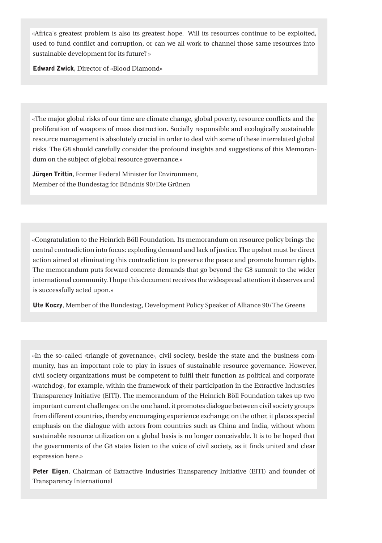«Africa's greatest problem is also its greatest hope. Will its resources continue to be exploited, used to fund conflict and corruption, or can we all work to channel those same resources into sustainable development for its future? »

Edward Zwick, Director of «Blood Diamond»

«The major global risks of our time are climate change, global poverty, resource conflicts and the proliferation of weapons of mass destruction. Socially responsible and ecologically sustainable resource management is absolutely crucial in order to deal with some of these interrelated global risks. The G8 should carefully consider the profound insights and suggestions of this Memorandum on the subject of global resource governance.»

Jürgen Trittin, Former Federal Minister for Environment, Member of the Bundestag for Bündnis 90/Die Grünen

«Congratulation to the Heinrich Böll Foundation. Its memorandum on resource policy brings the central contradiction into focus: exploding demand and lack of justice. The upshot must be direct action aimed at eliminating this contradiction to preserve the peace and promote human rights. The memorandum puts forward concrete demands that go beyond the G8 summit to the wider international community. I hope this document receives the widespread attention it deserves and is successfully acted upon.»

Ute Koczy, Member of the Bundestag, Development Policy Speaker of Alliance 90/The Greens

«In the so-called ‹triangle of governance›, civil society, beside the state and the business community, has an important role to play in issues of sustainable resource governance. However, civil society organizations must be competent to fulfil their function as political and corporate ‹watchdog›, for example, within the framework of their participation in the Extractive Industries Transparency Initiative (EITI). The memorandum of the Heinrich Böll Foundation takes up two important current challenges: on the one hand, it promotes dialogue between civil society groups from different countries, thereby encouraging experience exchange; on the other, it places special emphasis on the dialogue with actors from countries such as China and India, without whom sustainable resource utilization on a global basis is no longer conceivable. It is to be hoped that the governments of the G8 states listen to the voice of civil society, as it finds united and clear expression here.»

Peter Eigen, Chairman of Extractive Industries Transparency Initiative (EITI) and founder of Transparency International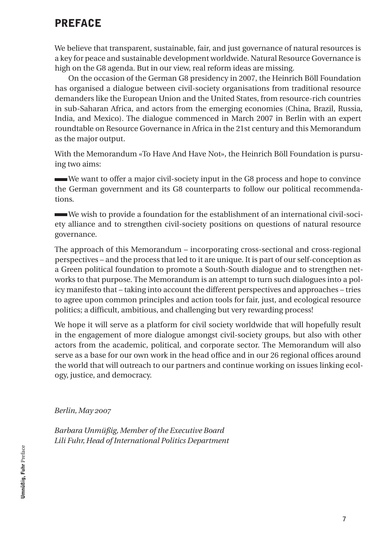## PREFACE

We believe that transparent, sustainable, fair, and just governance of natural resources is a key for peace and sustainable development worldwide. Natural Resource Governance is high on the G8 agenda. But in our view, real reform ideas are missing.

On the occasion of the German G8 presidency in 2007, the Heinrich Böll Foundation has organised a dialogue between civil-society organisations from traditional resource demanders like the European Union and the United States, from resource-rich countries in sub-Saharan Africa, and actors from the emerging economies (China, Brazil, Russia, India, and Mexico). The dialogue commenced in March 2007 in Berlin with an expert roundtable on Resource Governance in Africa in the 21st century and this Memorandum as the major output.

With the Memorandum «To Have And Have Not», the Heinrich Böll Foundation is pursuing two aims:

 We want to offer a major civil-society input in the G8 process and hope to convince the German government and its G8 counterparts to follow our political recommendations.

 We wish to provide a foundation for the establishment of an international civil-society alliance and to strengthen civil-society positions on questions of natural resource governance.

The approach of this Memorandum – incorporating cross-sectional and cross-regional perspectives – and the process that led to it are unique. It is part of our self-conception as a Green political foundation to promote a South-South dialogue and to strengthen networks to that purpose. The Memorandum is an attempt to turn such dialogues into a policy manifesto that – taking into account the different perspectives and approaches – tries to agree upon common principles and action tools for fair, just, and ecological resource politics; a difficult, ambitious, and challenging but very rewarding process!

We hope it will serve as a platform for civil society worldwide that will hopefully result in the engagement of more dialogue amongst civil-society groups, but also with other actors from the academic, political, and corporate sector. The Memorandum will also serve as a base for our own work in the head office and in our 26 regional offices around the world that will outreach to our partners and continue working on issues linking ecology, justice, and democracy.

*Berlin, May 2007*

*Barbara Unmüßig, Member of the Executive Board Lili Fuhr, Head of International Politics Department*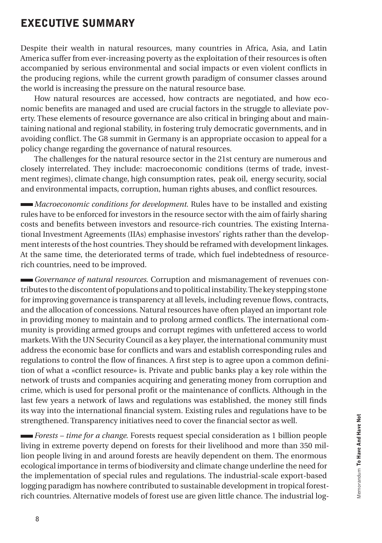## EXECUTIVE SUMMARY

Despite their wealth in natural resources, many countries in Africa, Asia, and Latin America suffer from ever-increasing poverty as the exploitation of their resources is often accompanied by serious environmental and social impacts or even violent conflicts in the producing regions, while the current growth paradigm of consumer classes around the world is increasing the pressure on the natural resource base.

How natural resources are accessed, how contracts are negotiated, and how economic benefits are managed and used are crucial factors in the struggle to alleviate poverty. These elements of resource governance are also critical in bringing about and maintaining national and regional stability, in fostering truly democratic governments, and in avoiding conflict. The G8 summit in Germany is an appropriate occasion to appeal for a policy change regarding the governance of natural resources.

The challenges for the natural resource sector in the 21st century are numerous and closely interrelated. They include: macroeconomic conditions (terms of trade, investment regimes), climate change, high consumption rates, peak oil, energy security, social and environmental impacts, corruption, human rights abuses, and conflict resources.

*Macroeconomic conditions for development*. Rules have to be installed and existing rules have to be enforced for investors in the resource sector with the aim of fairly sharing costs and benefits between investors and resource-rich countries. The existing International Investment Agreements (IIAs) emphasise investors' rights rather than the development interests of the host countries. They should be reframed with development linkages. At the same time, the deteriorated terms of trade, which fuel indebtedness of resourcerich countries, need to be improved.

*Governance of natural resources*. Corruption and mismanagement of revenues contributes to the discontent of populations and to political instability. The key stepping stone for improving governance is transparency at all levels, including revenue flows, contracts, and the allocation of concessions. Natural resources have often played an important role in providing money to maintain and to prolong armed conflicts. The international community is providing armed groups and corrupt regimes with unfettered access to world markets. With the UN Security Council as a key player, the international community must address the economic base for conflicts and wars and establish corresponding rules and regulations to control the flow of finances. A first step is to agree upon a common definition of what a «conflict resource» is. Private and public banks play a key role within the network of trusts and companies acquiring and generating money from corruption and crime, which is used for personal profit or the maintenance of conflicts. Although in the last few years a network of laws and regulations was established, the money still finds its way into the international financial system. Existing rules and regulations have to be strengthened. Transparency initiatives need to cover the financial sector as well.

*Forests – time for a change*. Forests request special consideration as 1 billion people living in extreme poverty depend on forests for their livelihood and more than 350 million people living in and around forests are heavily dependent on them. The enormous ecological importance in terms of biodiversity and climate change underline the need for the implementation of special rules and regulations. The industrial-scale export-based logging paradigm has nowhere contributed to sustainable development in tropical forestrich countries. Alternative models of forest use are given little chance. The industrial log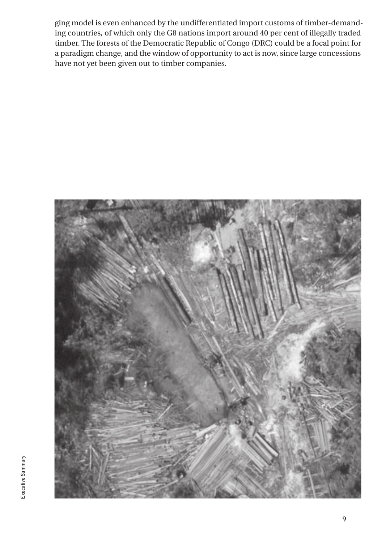ging model is even enhanced by the undifferentiated import customs of timber-demanding countries, of which only the G8 nations import around 40 per cent of illegally traded timber. The forests of the Democratic Republic of Congo (DRC) could be a focal point for a paradigm change, and the window of opportunity to act is now, since large concessions have not yet been given out to timber companies.

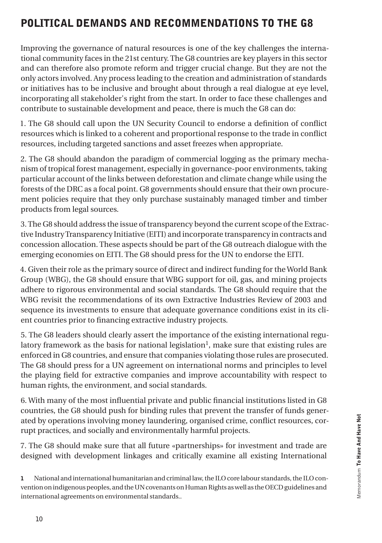## POLITICAL DEMANDS AND RECOMMENDATIONS TO THE G8

Improving the governance of natural resources is one of the key challenges the international community faces in the 21st century. The G8 countries are key players in this sector and can therefore also promote reform and trigger crucial change. But they are not the only actors involved. Any process leading to the creation and administration of standards or initiatives has to be inclusive and brought about through a real dialogue at eye level, incorporating all stakeholder's right from the start. In order to face these challenges and contribute to sustainable development and peace, there is much the G8 can do:

1. The G8 should call upon the UN Security Council to endorse a definition of conflict resources which is linked to a coherent and proportional response to the trade in conflict resources, including targeted sanctions and asset freezes when appropriate.

2. The G8 should abandon the paradigm of commercial logging as the primary mechanism of tropical forest management, especially in governance-poor environments, taking particular account of the links between deforestation and climate change while using the forests of the DRC as a focal point. G8 governments should ensure that their own procurement policies require that they only purchase sustainably managed timber and timber products from legal sources.

3. The G8 should address the issue of transparency beyond the current scope of the Extractive Industry Transparency Initiative (EITI) and incorporate transparency in contracts and concession allocation. These aspects should be part of the G8 outreach dialogue with the emerging economies on EITI. The G8 should press for the UN to endorse the EITI.

4. Given their role as the primary source of direct and indirect funding for the World Bank Group (WBG), the G8 should ensure that WBG support for oil, gas, and mining projects adhere to rigorous environmental and social standards. The G8 should require that the WBG revisit the recommendations of its own Extractive Industries Review of 2003 and sequence its investments to ensure that adequate governance conditions exist in its client countries prior to financing extractive industry projects.

5. The G8 leaders should clearly assert the importance of the existing international regulatory framework as the basis for national legislation<sup>1</sup>, make sure that existing rules are enforced in G8 countries, and ensure that companies violating those rules are prosecuted. The G8 should press for a UN agreement on international norms and principles to level the playing field for extractive companies and improve accountability with respect to human rights, the environment, and social standards.

6. With many of the most influential private and public financial institutions listed in G8 countries, the G8 should push for binding rules that prevent the transfer of funds generated by operations involving money laundering, organised crime, conflict resources, corrupt practices, and socially and environmentally harmful projects.

7. The G8 should make sure that all future «partnerships» for investment and trade are designed with development linkages and critically examine all existing International

<sup>1</sup> National and international humanitarian and criminal law, the ILO core labour standards, the ILO convention on indigenous peoples, and the UN covenants on Human Rights as well as the OECD guidelines and international agreements on environmental standards..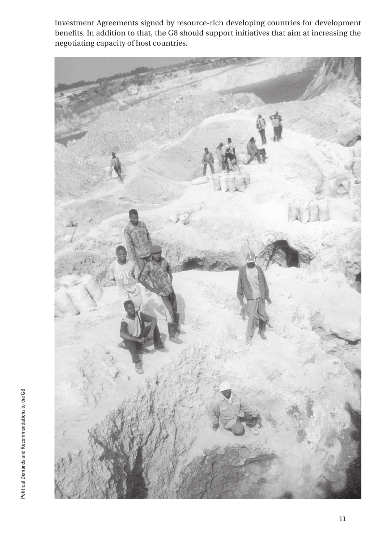Investment Agreements signed by resource-rich developing countries for development benefits. In addition to that, the G8 should support initiatives that aim at increasing the negotiating capacity of host countries.

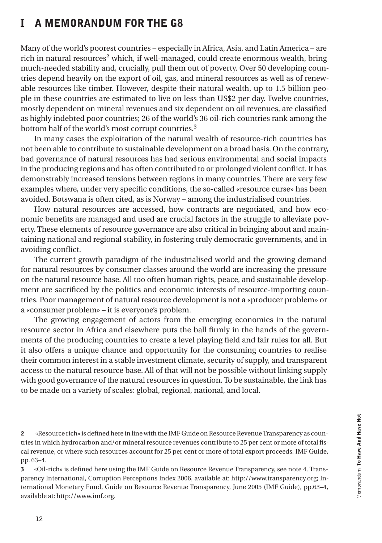## I A MEMORANDUM FOR THE G8

Many of the world's poorest countries – especially in Africa, Asia, and Latin America – are rich in natural resources2 which, if well-managed, could create enormous wealth, bring much-needed stability and, crucially, pull them out of poverty. Over 50 developing countries depend heavily on the export of oil, gas, and mineral resources as well as of renewable resources like timber. However, despite their natural wealth, up to 1.5 billion people in these countries are estimated to live on less than US\$2 per day. Twelve countries, mostly dependent on mineral revenues and six dependent on oil revenues, are classified as highly indebted poor countries; 26 of the world's 36 oil-rich countries rank among the bottom half of the world's most corrupt countries.3

In many cases the exploitation of the natural wealth of resource-rich countries has not been able to contribute to sustainable development on a broad basis. On the contrary, bad governance of natural resources has had serious environmental and social impacts in the producing regions and has often contributed to or prolonged violent conflict. It has demonstrably increased tensions between regions in many countries. There are very few examples where, under very specific conditions, the so-called «resource curse» has been avoided. Botswana is often cited, as is Norway – among the industrialised countries.

How natural resources are accessed, how contracts are negotiated, and how economic benefits are managed and used are crucial factors in the struggle to alleviate poverty. These elements of resource governance are also critical in bringing about and maintaining national and regional stability, in fostering truly democratic governments, and in avoiding conflict.

The current growth paradigm of the industrialised world and the growing demand for natural resources by consumer classes around the world are increasing the pressure on the natural resource base. All too often human rights, peace, and sustainable development are sacrificed by the politics and economic interests of resource-importing countries. Poor management of natural resource development is not a «producer problem» or a «consumer problem» – it is everyone's problem.

The growing engagement of actors from the emerging economies in the natural resource sector in Africa and elsewhere puts the ball firmly in the hands of the governments of the producing countries to create a level playing field and fair rules for all. But it also offers a unique chance and opportunity for the consuming countries to realise their common interest in a stable investment climate, security of supply, and transparent access to the natural resource base. All of that will not be possible without linking supply with good governance of the natural resources in question. To be sustainable, the link has to be made on a variety of scales: global, regional, national, and local.

2 «Resource rich» is defined here in line with the IMF Guide on Resource Revenue Transparency as countries in which hydrocarbon and/or mineral resource revenues contribute to 25 per cent or more of total fiscal revenue, or where such resources account for 25 per cent or more of total export proceeds. IMF Guide, pp. 63–4.

3 «Oil-rich» is defined here using the IMF Guide on Resource Revenue Transparency, see note 4. Transparency International, Corruption Perceptions Index 2006, available at: http://www.transparency.org; International Monetary Fund, Guide on Resource Revenue Transparency, June 2005 (IMF Guide), pp.63–4, available at: http://www.imf.org.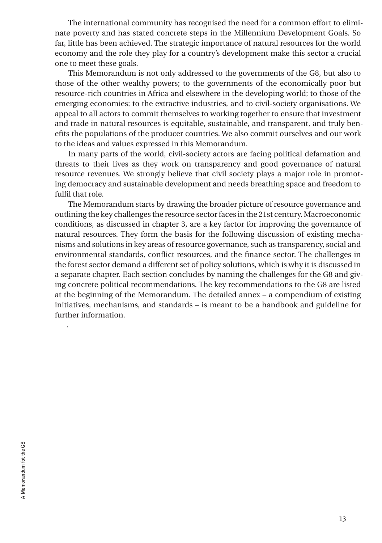The international community has recognised the need for a common effort to eliminate poverty and has stated concrete steps in the Millennium Development Goals. So far, little has been achieved. The strategic importance of natural resources for the world economy and the role they play for a country's development make this sector a crucial one to meet these goals.

This Memorandum is not only addressed to the governments of the G8, but also to those of the other wealthy powers; to the governments of the economically poor but resource-rich countries in Africa and elsewhere in the developing world; to those of the emerging economies; to the extractive industries, and to civil-society organisations. We appeal to all actors to commit themselves to working together to ensure that investment and trade in natural resources is equitable, sustainable, and transparent, and truly benefits the populations of the producer countries. We also commit ourselves and our work to the ideas and values expressed in this Memorandum.

In many parts of the world, civil-society actors are facing political defamation and threats to their lives as they work on transparency and good governance of natural resource revenues. We strongly believe that civil society plays a major role in promoting democracy and sustainable development and needs breathing space and freedom to fulfil that role.

The Memorandum starts by drawing the broader picture of resource governance and outlining the key challenges the resource sector faces in the 21st century. Macroeconomic conditions, as discussed in chapter 3, are a key factor for improving the governance of natural resources. They form the basis for the following discussion of existing mechanisms and solutions in key areas of resource governance, such as transparency, social and environmental standards, conflict resources, and the finance sector. The challenges in the forest sector demand a different set of policy solutions, which is why it is discussed in a separate chapter. Each section concludes by naming the challenges for the G8 and giving concrete political recommendations. The key recommendations to the G8 are listed at the beginning of the Memorandum. The detailed annex – a compendium of existing initiatives, mechanisms, and standards – is meant to be a handbook and guideline for further information.

.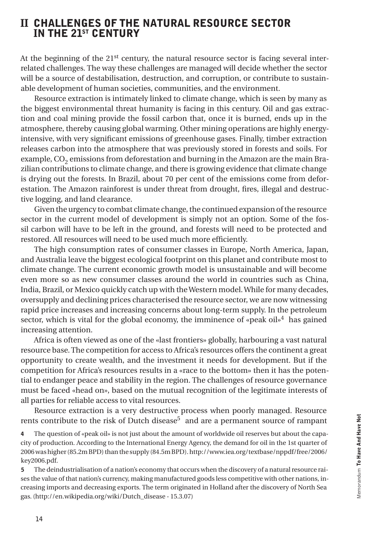## II CHALLENGES OF THE NATURAL RESOURCE SECTOR IN THE 21st CENTURY

At the beginning of the  $21<sup>st</sup>$  century, the natural resource sector is facing several interrelated challenges. The way these challenges are managed will decide whether the sector will be a source of destabilisation, destruction, and corruption, or contribute to sustainable development of human societies, communities, and the environment.

Resource extraction is intimately linked to climate change, which is seen by many as the biggest environmental threat humanity is facing in this century. Oil and gas extraction and coal mining provide the fossil carbon that, once it is burned, ends up in the atmosphere, thereby causing global warming. Other mining operations are highly energyintensive, with very significant emissions of greenhouse gases. Finally, timber extraction releases carbon into the atmosphere that was previously stored in forests and soils. For example, CO<sub>2</sub> emissions from deforestation and burning in the Amazon are the main Brazilian contributions to climate change, and there is growing evidence that climate change is drying out the forests. In Brazil, about 70 per cent of the emissions come from deforestation. The Amazon rainforest is under threat from drought, fires, illegal and destructive logging, and land clearance.

Given the urgency to combat climate change, the continued expansion of the resource sector in the current model of development is simply not an option. Some of the fossil carbon will have to be left in the ground, and forests will need to be protected and restored. All resources will need to be used much more efficiently.

The high consumption rates of consumer classes in Europe, North America, Japan, and Australia leave the biggest ecological footprint on this planet and contribute most to climate change. The current economic growth model is unsustainable and will become even more so as new consumer classes around the world in countries such as China, India, Brazil, or Mexico quickly catch up with the Western model. While for many decades, oversupply and declining prices characterised the resource sector, we are now witnessing rapid price increases and increasing concerns about long-term supply. In the petroleum sector, which is vital for the global economy, the imminence of «peak oil»<sup>4</sup> has gained increasing attention.

Africa is often viewed as one of the «last frontiers» globally, harbouring a vast natural resource base. The competition for access to Africa's resources offers the continent a great opportunity to create wealth, and the investment it needs for development. But if the competition for Africa's resources results in a «race to the bottom» then it has the potential to endanger peace and stability in the region. The challenges of resource governance must be faced «head on», based on the mutual recognition of the legitimate interests of all parties for reliable access to vital resources.

Resource extraction is a very destructive process when poorly managed. Resource rents contribute to the risk of Dutch disease<sup>5</sup> and are a permanent source of rampant

4 The question of «peak oil» is not just about the amount of worldwide oil reserves but about the capacity of production. According to the International Energy Agency, the demand for oil in the 1st quarter of 2006 was higher (85.2m BPD) than the supply (84.5m BPD). http://www.iea.org/textbase/nppdf/free/2006/ key2006.pdf.

5 The deindustrialisation of a nation's economy that occurs when the discovery of a natural resource raises the value of that nation's currency, making manufactured goods less competitive with other nations, increasing imports and decreasing exports. The term originated in Holland after the discovery of North Sea gas. (http://en.wikipedia.org/wiki/Dutch\_disease - 15.3.07)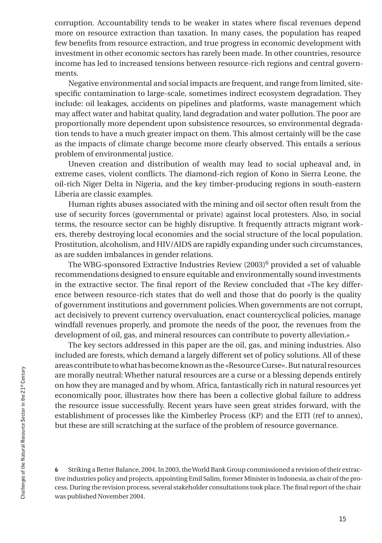corruption. Accountability tends to be weaker in states where fiscal revenues depend more on resource extraction than taxation. In many cases, the population has reaped few benefits from resource extraction, and true progress in economic development with investment in other economic sectors has rarely been made. In other countries, resource income has led to increased tensions between resource-rich regions and central governments.

Negative environmental and social impacts are frequent, and range from limited, sitespecific contamination to large-scale, sometimes indirect ecosystem degradation. They include: oil leakages, accidents on pipelines and platforms, waste management which may affect water and habitat quality, land degradation and water pollution. The poor are proportionally more dependent upon subsistence resources, so environmental degradation tends to have a much greater impact on them. This almost certainly will be the case as the impacts of climate change become more clearly observed. This entails a serious problem of environmental justice.

Uneven creation and distribution of wealth may lead to social upheaval and, in extreme cases, violent conflicts. The diamond-rich region of Kono in Sierra Leone, the oil-rich Niger Delta in Nigeria, and the key timber-producing regions in south-eastern Liberia are classic examples.

Human rights abuses associated with the mining and oil sector often result from the use of security forces (governmental or private) against local protesters. Also, in social terms, the resource sector can be highly disruptive. It frequently attracts migrant workers, thereby destroying local economies and the social structure of the local population. Prostitution, alcoholism, and HIV/AIDS are rapidly expanding under such circumstances, as are sudden imbalances in gender relations.

The WBG-sponsored Extractive Industries Review  $(2003)^6$  provided a set of valuable recommendations designed to ensure equitable and environmentally sound investments in the extractive sector. The final report of the Review concluded that «The key difference between resource-rich states that do well and those that do poorly is the quality of government institutions and government policies. When governments are not corrupt, act decisively to prevent currency overvaluation, enact countercyclical policies, manage windfall revenues properly, and promote the needs of the poor, the revenues from the development of oil, gas, and mineral resources can contribute to poverty alleviation.»

The key sectors addressed in this paper are the oil, gas, and mining industries. Also included are forests, which demand a largely different set of policy solutions. All of these areas contribute to what has become known as the «Resource Curse». But natural resources are morally neutral: Whether natural resources are a curse or a blessing depends entirely on how they are managed and by whom. Africa, fantastically rich in natural resources yet economically poor, illustrates how there has been a collective global failure to address the resource issue successfully. Recent years have seen great strides forward, with the establishment of processes like the Kimberley Process (KP) and the EITI (ref to annex), but these are still scratching at the surface of the problem of resource governance.

6 Striking a Better Balance, 2004. In 2003, the World Bank Group commissioned a revision of their extractive industries policy and projects, appointing Emil Salim, former Minister in Indonesia, as chair of the process. During the revision process, several stakeholder consultations took place. The final report of the chair was published November 2004.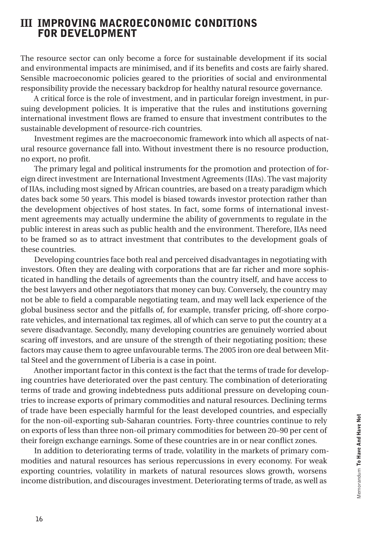## III IMPROVING MACROECONOMIC CONDITIONS FOR DEVELOPMENT

The resource sector can only become a force for sustainable development if its social and environmental impacts are minimised, and if its benefits and costs are fairly shared. Sensible macroeconomic policies geared to the priorities of social and environmental responsibility provide the necessary backdrop for healthy natural resource governance.

A critical force is the role of investment, and in particular foreign investment, in pursuing development policies. It is imperative that the rules and institutions governing international investment flows are framed to ensure that investment contributes to the sustainable development of resource-rich countries.

Investment regimes are the macroeconomic framework into which all aspects of natural resource governance fall into. Without investment there is no resource production, no export, no profit.

The primary legal and political instruments for the promotion and protection of foreign direct investment are International Investment Agreements (IIAs). The vast majority of IIAs, including most signed by African countries, are based on a treaty paradigm which dates back some 50 years. This model is biased towards investor protection rather than the development objectives of host states. In fact, some forms of international investment agreements may actually undermine the ability of governments to regulate in the public interest in areas such as public health and the environment. Therefore, IIAs need to be framed so as to attract investment that contributes to the development goals of these countries.

Developing countries face both real and perceived disadvantages in negotiating with investors. Often they are dealing with corporations that are far richer and more sophisticated in handling the details of agreements than the country itself, and have access to the best lawyers and other negotiators that money can buy. Conversely, the country may not be able to field a comparable negotiating team, and may well lack experience of the global business sector and the pitfalls of, for example, transfer pricing, off-shore corporate vehicles, and international tax regimes, all of which can serve to put the country at a severe disadvantage. Secondly, many developing countries are genuinely worried about scaring off investors, and are unsure of the strength of their negotiating position; these factors may cause them to agree unfavourable terms. The 2005 iron ore deal between Mittal Steel and the government of Liberia is a case in point.

Another important factor in this context is the fact that the terms of trade for developing countries have deteriorated over the past century. The combination of deteriorating terms of trade and growing indebtedness puts additional pressure on developing countries to increase exports of primary commodities and natural resources. Declining terms of trade have been especially harmful for the least developed countries, and especially for the non-oil-exporting sub-Saharan countries. Forty-three countries continue to rely on exports of less than three non-oil primary commodities for between 20–90 per cent of their foreign exchange earnings. Some of these countries are in or near conflict zones.

In addition to deteriorating terms of trade, volatility in the markets of primary commodities and natural resources has serious repercussions in every economy. For weak exporting countries, volatility in markets of natural resources slows growth, worsens income distribution, and discourages investment. Deteriorating terms of trade, as well as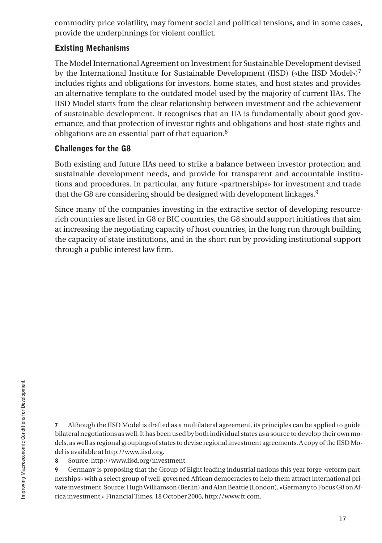commodity price volatility, may foment social and political tensions, and in some cases, provide the underpinnings for violent conflict.

### Existing Mechanisms

The Model International Agreement on Investment for Sustainable Development devised by the International Institute for Sustainable Development (IISD) («the IISD Model»)<sup>7</sup> includes rights and obligations for investors, home states, and host states and provides an alternative template to the outdated model used by the majority of current IIAs. The IISD Model starts from the clear relationship between investment and the achievement of sustainable development. It recognises that an IIA is fundamentally about good governance, and that protection of investor rights and obligations and host-state rights and obligations are an essential part of that equation.8

## Challenges for the G8

Both existing and future IIAs need to strike a balance between investor protection and sustainable development needs, and provide for transparent and accountable institutions and procedures. In particular, any future «partnerships» for investment and trade that the G8 are considering should be designed with development linkages.<sup>9</sup>

Since many of the companies investing in the extractive sector of developing resourcerich countries are listed in G8 or BIC countries, the G8 should support initiatives that aim at increasing the negotiating capacity of host countries, in the long run through building the capacity of state institutions, and in the short run by providing institutional support through a public interest law firm.

7 Although the IISD Model is drafted as a multilateral agreement, its principles can be applied to guide bilateral negotiations as well. It has been used by both individual states as a source to develop their own models, as well as regional groupings of states to devise regional investment agreements. A copy of the IISD Model is available at http://www.iisd.org.

8 Source: http://www.iisd.org/investment.

9 Germany is proposing that the Group of Eight leading industrial nations this year forge «reform partnerships» with a select group of well-governed African democracies to help them attract international private investment. Source: Hugh Williamson (Berlin) and Alan Beattie (London), «Germany to Focus G8 on Africa investment,» Financial Times, 18 October 2006, http://www.ft.com.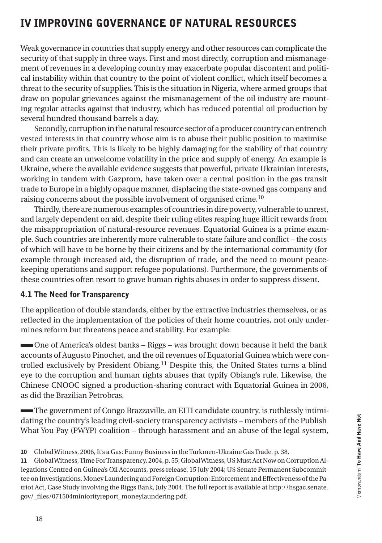## IV IMPROVING GOVERNANCE OF NATURAL RESOURCES

Weak governance in countries that supply energy and other resources can complicate the security of that supply in three ways. First and most directly, corruption and mismanagement of revenues in a developing country may exacerbate popular discontent and political instability within that country to the point of violent conflict, which itself becomes a threat to the security of supplies. This is the situation in Nigeria, where armed groups that draw on popular grievances against the mismanagement of the oil industry are mounting regular attacks against that industry, which has reduced potential oil production by several hundred thousand barrels a day.

Secondly, corruption in the natural resource sector of a producer country can entrench vested interests in that country whose aim is to abuse their public position to maximise their private profits. This is likely to be highly damaging for the stability of that country and can create an unwelcome volatility in the price and supply of energy. An example is Ukraine, where the available evidence suggests that powerful, private Ukrainian interests, working in tandem with Gazprom, have taken over a central position in the gas transit trade to Europe in a highly opaque manner, displacing the state-owned gas company and raising concerns about the possible involvement of organised crime.10

Thirdly, there are numerous examples of countries in dire poverty, vulnerable to unrest, and largely dependent on aid, despite their ruling elites reaping huge illicit rewards from the misappropriation of natural-resource revenues. Equatorial Guinea is a prime example. Such countries are inherently more vulnerable to state failure and conflict – the costs of which will have to be borne by their citizens and by the international community (for example through increased aid, the disruption of trade, and the need to mount peacekeeping operations and support refugee populations). Furthermore, the governments of these countries often resort to grave human rights abuses in order to suppress dissent.

#### 4.1 The Need for Transparency

The application of double standards, either by the extractive industries themselves, or as reflected in the implementation of the policies of their home countries, not only undermines reform but threatens peace and stability. For example:

 One of America's oldest banks – Riggs – was brought down because it held the bank accounts of Augusto Pinochet, and the oil revenues of Equatorial Guinea which were controlled exclusively by President Obiang.11 Despite this, the United States turns a blind eye to the corruption and human rights abuses that typify Obiang's rule. Likewise, the Chinese CNOOC signed a production-sharing contract with Equatorial Guinea in 2006, as did the Brazilian Petrobras.

 The government of Congo Brazzaville, an EITI candidate country, is ruthlessly intimidating the country's leading civil-society transparency activists – members of the Publish What You Pay (PWYP) coalition – through harassment and an abuse of the legal system,

<sup>10</sup> Global Witness, 2006, It's a Gas: Funny Business in the Turkmen-Ukraine Gas Trade, p. 38.

<sup>11</sup> Global Witness, Time For Transparency, 2004, p. 55; Global Witness, US Must Act Now on Corruption Allegations Centred on Guinea's Oil Accounts, press release, 15 July 2004; US Senate Permanent Subcommittee on Investigations, Money Laundering and Foreign Corruption: Enforcement and Effectiveness of the Patriot Act, Case Study involving the Riggs Bank, July 2004. The full report is available at http://hsgac.senate. gov/\_files/071504miniorityreport\_moneylaundering.pdf.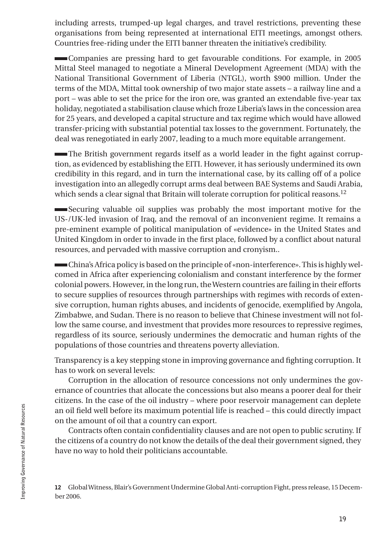including arrests, trumped-up legal charges, and travel restrictions, preventing these organisations from being represented at international EITI meetings, amongst others. Countries free-riding under the EITI banner threaten the initiative's credibility.

 Companies are pressing hard to get favourable conditions. For example, in 2005 Mittal Steel managed to negotiate a Mineral Development Agreement (MDA) with the National Transitional Government of Liberia (NTGL), worth \$900 million. Under the terms of the MDA, Mittal took ownership of two major state assets – a railway line and a port – was able to set the price for the iron ore, was granted an extendable five-year tax holiday, negotiated a stabilisation clause which froze Liberia's laws in the concession area for 25 years, and developed a capital structure and tax regime which would have allowed transfer-pricing with substantial potential tax losses to the government. Fortunately, the deal was renegotiated in early 2007, leading to a much more equitable arrangement.

 The British government regards itself as a world leader in the fight against corruption, as evidenced by establishing the EITI. However, it has seriously undermined its own credibility in this regard, and in turn the international case, by its calling off of a police investigation into an allegedly corrupt arms deal between BAE Systems and Saudi Arabia, which sends a clear signal that Britain will tolerate corruption for political reasons.<sup>12</sup>

 Securing valuable oil supplies was probably the most important motive for the US-/UK-led invasion of Iraq, and the removal of an inconvenient regime. It remains a pre-eminent example of political manipulation of «evidence» in the United States and United Kingdom in order to invade in the first place, followed by a conflict about natural resources, and pervaded with massive corruption and cronyism..

 China's Africa policy is based on the principle of «non-interference». This is highly welcomed in Africa after experiencing colonialism and constant interference by the former colonial powers. However, in the long run, the Western countries are failing in their efforts to secure supplies of resources through partnerships with regimes with records of extensive corruption, human rights abuses, and incidents of genocide, exemplified by Angola, Zimbabwe, and Sudan. There is no reason to believe that Chinese investment will not follow the same course, and investment that provides more resources to repressive regimes, regardless of its source, seriously undermines the democratic and human rights of the populations of those countries and threatens poverty alleviation.

Transparency is a key stepping stone in improving governance and fighting corruption. It has to work on several levels:

Corruption in the allocation of resource concessions not only undermines the governance of countries that allocate the concessions but also means a poorer deal for their citizens. In the case of the oil industry – where poor reservoir management can deplete an oil field well before its maximum potential life is reached – this could directly impact on the amount of oil that a country can export.

Contracts often contain confidentiality clauses and are not open to public scrutiny. If the citizens of a country do not know the details of the deal their government signed, they have no way to hold their politicians accountable.

12 Global Witness, Blair's Government Undermine Global Anti-corruption Fight, press release, 15 December 2006.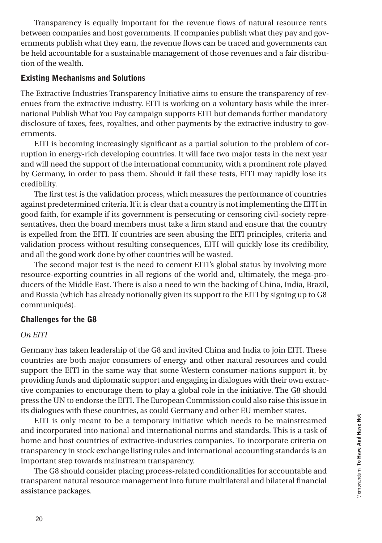Transparency is equally important for the revenue flows of natural resource rents between companies and host governments. If companies publish what they pay and governments publish what they earn, the revenue flows can be traced and governments can be held accountable for a sustainable management of those revenues and a fair distribution of the wealth.

#### Existing Mechanisms and Solutions

The Extractive Industries Transparency Initiative aims to ensure the transparency of revenues from the extractive industry. EITI is working on a voluntary basis while the international Publish What You Pay campaign supports EITI but demands further mandatory disclosure of taxes, fees, royalties, and other payments by the extractive industry to governments.

EITI is becoming increasingly significant as a partial solution to the problem of corruption in energy-rich developing countries. It will face two major tests in the next year and will need the support of the international community, with a prominent role played by Germany, in order to pass them. Should it fail these tests, EITI may rapidly lose its credibility.

The first test is the validation process, which measures the performance of countries against predetermined criteria. If it is clear that a country is not implementing the EITI in good faith, for example if its government is persecuting or censoring civil-society representatives, then the board members must take a firm stand and ensure that the country is expelled from the EITI. If countries are seen abusing the EITI principles, criteria and validation process without resulting consequences, EITI will quickly lose its credibility, and all the good work done by other countries will be wasted.

The second major test is the need to cement EITI's global status by involving more resource-exporting countries in all regions of the world and, ultimately, the mega-producers of the Middle East. There is also a need to win the backing of China, India, Brazil, and Russia (which has already notionally given its support to the EITI by signing up to G8 communiqués).

#### Challenges for the G8

#### *On EITI*

Germany has taken leadership of the G8 and invited China and India to join EITI. These countries are both major consumers of energy and other natural resources and could support the EITI in the same way that some Western consumer-nations support it, by providing funds and diplomatic support and engaging in dialogues with their own extractive companies to encourage them to play a global role in the initiative. The G8 should press the UN to endorse the EITI. The European Commission could also raise this issue in its dialogues with these countries, as could Germany and other EU member states.

EITI is only meant to be a temporary initiative which needs to be mainstreamed and incorporated into national and international norms and standards. This is a task of home and host countries of extractive-industries companies. To incorporate criteria on transparency in stock exchange listing rules and international accounting standards is an important step towards mainstream transparency.

The G8 should consider placing process-related conditionalities for accountable and transparent natural resource management into future multilateral and bilateral financial assistance packages.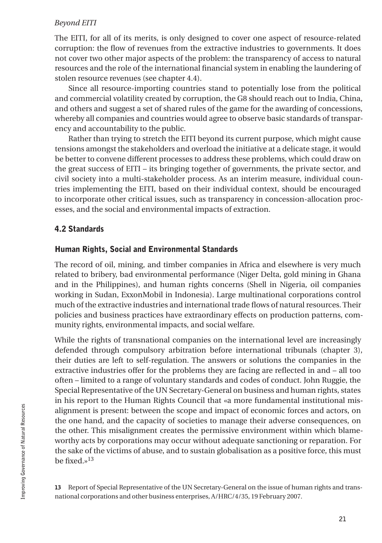#### *Beyond EITI*

The EITI, for all of its merits, is only designed to cover one aspect of resource-related corruption: the flow of revenues from the extractive industries to governments. It does not cover two other major aspects of the problem: the transparency of access to natural resources and the role of the international financial system in enabling the laundering of stolen resource revenues (see chapter 4.4).

Since all resource-importing countries stand to potentially lose from the political and commercial volatility created by corruption, the G8 should reach out to India, China, and others and suggest a set of shared rules of the game for the awarding of concessions, whereby all companies and countries would agree to observe basic standards of transparency and accountability to the public.

Rather than trying to stretch the EITI beyond its current purpose, which might cause tensions amongst the stakeholders and overload the initiative at a delicate stage, it would be better to convene different processes to address these problems, which could draw on the great success of EITI – its bringing together of governments, the private sector, and civil society into a multi-stakeholder process. As an interim measure, individual countries implementing the EITI, based on their individual context, should be encouraged to incorporate other critical issues, such as transparency in concession-allocation processes, and the social and environmental impacts of extraction.

### 4.2 Standards

#### Human Rights, Social and Environmental Standards

The record of oil, mining, and timber companies in Africa and elsewhere is very much related to bribery, bad environmental performance (Niger Delta, gold mining in Ghana and in the Philippines), and human rights concerns (Shell in Nigeria, oil companies working in Sudan, ExxonMobil in Indonesia). Large multinational corporations control much of the extractive industries and international trade flows of natural resources. Their policies and business practices have extraordinary effects on production patterns, community rights, environmental impacts, and social welfare.

While the rights of transnational companies on the international level are increasingly defended through compulsory arbitration before international tribunals (chapter 3), their duties are left to self-regulation. The answers or solutions the companies in the extractive industries offer for the problems they are facing are reflected in and – all too often – limited to a range of voluntary standards and codes of conduct. John Ruggie, the Special Representative of the UN Secretary-General on business and human rights, states in his report to the Human Rights Council that «a more fundamental institutional misalignment is present: between the scope and impact of economic forces and actors, on the one hand, and the capacity of societies to manage their adverse consequences, on the other. This misalignment creates the permissive environment within which blameworthy acts by corporations may occur without adequate sanctioning or reparation. For the sake of the victims of abuse, and to sustain globalisation as a positive force, this must be fixed  $v^{13}$ 

13 Report of Special Representative of the UN Secretary-General on the issue of human rights and transnational corporations and other business enterprises, A/HRC/4/35, 19 February 2007.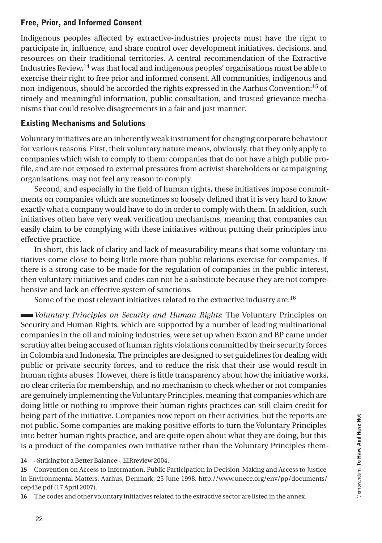### Free, Prior, and Informed Consent

Indigenous peoples affected by extractive-industries projects must have the right to participate in, influence, and share control over development initiatives, decisions, and resources on their traditional territories. A central recommendation of the Extractive Industries Review, $14$  was that local and indigenous peoples' organisations must be able to exercise their right to free prior and informed consent. All communities, indigenous and non-indigenous, should be accorded the rights expressed in the Aarhus Convention:15 of timely and meaningful information, public consultation, and trusted grievance mechanisms that could resolve disagreements in a fair and just manner.

### Existing Mechanisms and Solutions

Voluntary initiatives are an inherently weak instrument for changing corporate behaviour for various reasons. First, their voluntary nature means, obviously, that they only apply to companies which wish to comply to them: companies that do not have a high public profile, and are not exposed to external pressures from activist shareholders or campaigning organisations, may not feel any reason to comply.

Second, and especially in the field of human rights, these initiatives impose commitments on companies which are sometimes so loosely defined that it is very hard to know exactly what a company would have to do in order to comply with them. In addition, such initiatives often have very weak verification mechanisms, meaning that companies can easily claim to be complying with these initiatives without putting their principles into effective practice.

In short, this lack of clarity and lack of measurability means that some voluntary initiatives come close to being little more than public relations exercise for companies. If there is a strong case to be made for the regulation of companies in the public interest, then voluntary initiatives and codes can not be a substitute because they are not comprehensive and lack an effective system of sanctions.

Some of the most relevant initiatives related to the extractive industry are:<sup>16</sup>

*Voluntary Principles on Security and Human Rights*: The Voluntary Principles on Security and Human Rights, which are supported by a number of leading multinational companies in the oil and mining industries, were set up when Exxon and BP came under scrutiny after being accused of human rights violations committed by their security forces in Colombia and Indonesia. The principles are designed to set guidelines for dealing with public or private security forces, and to reduce the risk that their use would result in human rights abuses. However, there is little transparency about how the initiative works, no clear criteria for membership, and no mechanism to check whether or not companies are genuinely implementing the Voluntary Principles, meaning that companies which are doing little or nothing to improve their human rights practices can still claim credit for being part of the initiative. Companies now report on their activities, but the reports are not public. Some companies are making positive efforts to turn the Voluntary Principles into better human rights practice, and are quite open about what they are doing, but this is a product of the companies own initiative rather than the Voluntary Principles them-

14 «Striking for a Better Balance», EIRreview 2004.

15 Convention on Access to Information, Public Participation in Decision-Making and Access to Justice in Environmental Matters, Aarhus, Denmark, 25 June 1998. http://www.unece.org/env/pp/documents/ cep43e.pdf (17 April 2007).

16 The codes and other voluntary initiatives related to the extractive sector are listed in the annex.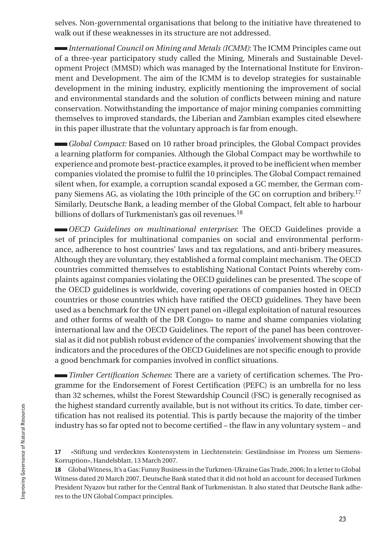selves. Non-governmental organisations that belong to the initiative have threatened to walk out if these weaknesses in its structure are not addressed.

*International Council on Mining and Metals (ICMM)*: The ICMM Principles came out of a three-year participatory study called the Mining, Minerals and Sustainable Development Project (MMSD) which was managed by the International Institute for Environment and Development. The aim of the ICMM is to develop strategies for sustainable development in the mining industry, explicitly mentioning the improvement of social and environmental standards and the solution of conflicts between mining and nature conservation. Notwithstanding the importance of major mining companies committing themselves to improved standards, the Liberian and Zambian examples cited elsewhere in this paper illustrate that the voluntary approach is far from enough.

*Global Compact:* Based on 10 rather broad principles, the Global Compact provides a learning platform for companies. Although the Global Compact may be worthwhile to experience and promote best-practice examples, it proved to be inefficient when member companies violated the promise to fulfil the 10 principles. The Global Compact remained silent when, for example, a corruption scandal exposed a GC member, the German company Siemens AG, as violating the 10th principle of the GC on corruption and bribery.17 Similarly, Deutsche Bank, a leading member of the Global Compact, felt able to harbour billions of dollars of Turkmenistan's gas oil revenues.<sup>18</sup>

*OECD Guidelines on multinational enterprises*: The OECD Guidelines provide a set of principles for multinational companies on social and environmental performance, adherence to host countries' laws and tax regulations, and anti-bribery measures. Although they are voluntary, they established a formal complaint mechanism. The OECD countries committed themselves to establishing National Contact Points whereby complaints against companies violating the OECD guidelines can be presented. The scope of the OECD guidelines is worldwide, covering operations of companies hosted in OECD countries or those countries which have ratified the OECD guidelines. They have been used as a benchmark for the UN expert panel on «illegal exploitation of natural resources and other forms of wealth of the DR Congo» to name and shame companies violating international law and the OECD Guidelines. The report of the panel has been controversial as it did not publish robust evidence of the companies' involvement showing that the indicators and the procedures of the OECD Guidelines are not specific enough to provide a good benchmark for companies involved in conflict situations.

*Timber Certification Schemes*: There are a variety of certification schemes. The Programme for the Endorsement of Forest Certification (PEFC) is an umbrella for no less than 32 schemes, whilst the Forest Stewardship Council (FSC) is generally recognised as the highest standard currently available, but is not without its critics. To date, timber certification has not realised its potential. This is partly because the majority of the timber industry has so far opted not to become certified – the flaw in any voluntary system – and

17 «Stiftung und verdecktes Kontensystem in Liechtenstein: Geständnisse im Prozess um Siemens-Korruption», Handelsblatt, 13 March 2007.

18 Global Witness, It's a Gas: Funny Business in the Turkmen-Ukraine Gas Trade, 2006; In a letter to Global Witness dated 20 March 2007, Deutsche Bank stated that it did not hold an account for deceased Turkmen President Nyazov but rather for the Central Bank of Turkmenistan. It also stated that Deutsche Bank adheres to the UN Global Compact principles.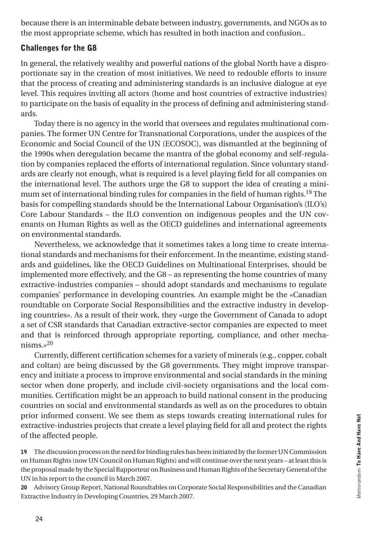because there is an interminable debate between industry, governments, and NGOs as to the most appropriate scheme, which has resulted in both inaction and confusion..

### Challenges for the G8

In general, the relatively wealthy and powerful nations of the global North have a disproportionate say in the creation of most initiatives. We need to redouble efforts to insure that the process of creating and administering standards is an inclusive dialogue at eye level. This requires inviting all actors (home and host countries of extractive industries) to participate on the basis of equality in the process of defining and administering standards.

Today there is no agency in the world that oversees and regulates multinational companies. The former UN Centre for Transnational Corporations, under the auspices of the Economic and Social Council of the UN (ECOSOC), was dismantled at the beginning of the 1990s when deregulation became the mantra of the global economy and self-regulation by companies replaced the efforts of international regulation. Since voluntary standards are clearly not enough, what is required is a level playing field for all companies on the international level. The authors urge the G8 to support the idea of creating a minimum set of international binding rules for companies in the field of human rights.19 The basis for compelling standards should be the International Labour Organisation's (ILO's) Core Labour Standards – the ILO convention on indigenous peoples and the UN covenants on Human Rights as well as the OECD guidelines and international agreements on environmental standards.

Nevertheless, we acknowledge that it sometimes takes a long time to create international standards and mechanisms for their enforcement. In the meantime, existing standards and guidelines, like the OECD Guidelines on Multinational Enterprises, should be implemented more effectively, and the G8 – as representing the home countries of many extractive-industries companies – should adopt standards and mechanisms to regulate companies' performance in developing countries. An example might be the «Canadian roundtable on Corporate Social Responsibilities and the extractive industry in developing countries». As a result of their work, they «urge the Government of Canada to adopt a set of CSR standards that Canadian extractive-sector companies are expected to meet and that is reinforced through appropriate reporting, compliance, and other mechanisms.»<sup>20</sup>

Currently, different certification schemes for a variety of minerals (e.g., copper, cobalt and coltan) are being discussed by the G8 governments. They might improve transparency and initiate a process to improve environmental and social standards in the mining sector when done properly, and include civil-society organisations and the local communities. Certification might be an approach to build national consent in the producing countries on social and environmental standards as well as on the procedures to obtain prior informed consent. We see them as steps towards creating international rules for extractive-industries projects that create a level playing field for all and protect the rights of the affected people.

19 The discussion process on the need for binding rules has been initiated by the former UN Commission on Human Rights (now UN Council on Human Rights) and will continue over the next years – at least this is the proposal made by the Special Rapporteur on Business and Human Rights of the Secretary General of the UN in his report to the council in March 2007.

20 Advisory Group Report, National Roundtables on Corporate Social Responsibilities and the Canadian Extractive Industry in Developing Countries, 29 March 2007.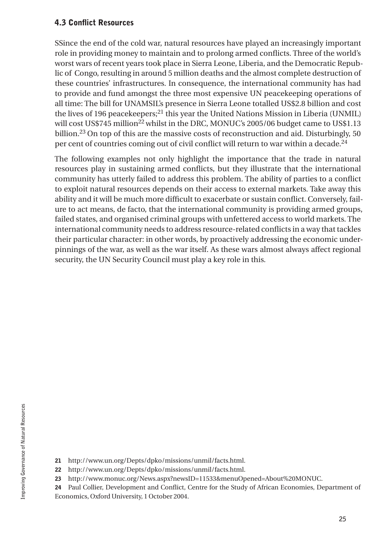#### 4.3 Conflict Resources

SSince the end of the cold war, natural resources have played an increasingly important role in providing money to maintain and to prolong armed conflicts. Three of the world's worst wars of recent years took place in Sierra Leone, Liberia, and the Democratic Republic of Congo, resulting in around 5 million deaths and the almost complete destruction of these countries' infrastructures. In consequence, the international community has had to provide and fund amongst the three most expensive UN peacekeeping operations of all time: The bill for UNAMSIL's presence in Sierra Leone totalled US\$2.8 billion and cost the lives of 196 peacekeepers;21 this year the United Nations Mission in Liberia (UNMIL) will cost US\$745 million<sup>22</sup> whilst in the DRC, MONUC's 2005/06 budget came to US\$1.13 billion.23 On top of this are the massive costs of reconstruction and aid. Disturbingly, 50 per cent of countries coming out of civil conflict will return to war within a decade.24

The following examples not only highlight the importance that the trade in natural resources play in sustaining armed conflicts, but they illustrate that the international community has utterly failed to address this problem. The ability of parties to a conflict to exploit natural resources depends on their access to external markets. Take away this ability and it will be much more difficult to exacerbate or sustain conflict. Conversely, failure to act means, de facto, that the international community is providing armed groups, failed states, and organised criminal groups with unfettered access to world markets. The international community needs to address resource-related conflicts in a way that tackles their particular character: in other words, by proactively addressing the economic underpinnings of the war, as well as the war itself. As these wars almost always affect regional security, the UN Security Council must play a key role in this.

<sup>21</sup> http://www.un.org/Depts/dpko/missions/unmil/facts.html.

<sup>22</sup> http://www.un.org/Depts/dpko/missions/unmil/facts.html.

<sup>23</sup> http://www.monuc.org/News.aspx?newsID=11533&menuOpened=About%20MONUC.

<sup>24</sup> Paul Collier, Development and Conflict, Centre for the Study of African Economies, Department of Economics, Oxford University, 1 October 2004.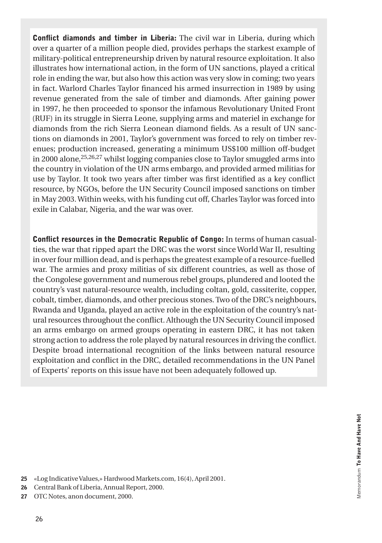Conflict diamonds and timber in Liberia: The civil war in Liberia, during which over a quarter of a million people died, provides perhaps the starkest example of military-political entrepreneurship driven by natural resource exploitation. It also illustrates how international action, in the form of UN sanctions, played a critical role in ending the war, but also how this action was very slow in coming; two years in fact. Warlord Charles Taylor financed his armed insurrection in 1989 by using revenue generated from the sale of timber and diamonds. After gaining power in 1997, he then proceeded to sponsor the infamous Revolutionary United Front (RUF) in its struggle in Sierra Leone, supplying arms and materiel in exchange for diamonds from the rich Sierra Leonean diamond fields. As a result of UN sanctions on diamonds in 2001, Taylor's government was forced to rely on timber revenues; production increased, generating a minimum US\$100 million off-budget in 2000 alone, $25,26,27$  whilst logging companies close to Taylor smuggled arms into the country in violation of the UN arms embargo, and provided armed militias for use by Taylor. It took two years after timber was first identified as a key conflict resource, by NGOs, before the UN Security Council imposed sanctions on timber in May 2003. Within weeks, with his funding cut off, Charles Taylor was forced into exile in Calabar, Nigeria, and the war was over.

Conflict resources in the Democratic Republic of Congo: In terms of human casualties, the war that ripped apart the DRC was the worst since World War II, resulting in over four million dead, and is perhaps the greatest example of a resource-fuelled war. The armies and proxy militias of six different countries, as well as those of the Congolese government and numerous rebel groups, plundered and looted the country's vast natural-resource wealth, including coltan, gold, cassiterite, copper, cobalt, timber, diamonds, and other precious stones. Two of the DRC's neighbours, Rwanda and Uganda, played an active role in the exploitation of the country's natural resources throughout the conflict. Although the UN Security Council imposed an arms embargo on armed groups operating in eastern DRC, it has not taken strong action to address the role played by natural resources in driving the conflict. Despite broad international recognition of the links between natural resource exploitation and conflict in the DRC, detailed recommendations in the UN Panel of Experts' reports on this issue have not been adequately followed up.

- 25 «Log Indicative Values,» Hardwood Markets.com, 16(4), April 2001.
- 26 Central Bank of Liberia, Annual Report, 2000.
- 27 OTC Notes, anon document, 2000.

Memorandum To Have And Have Not

Memorandum To Have And Have Not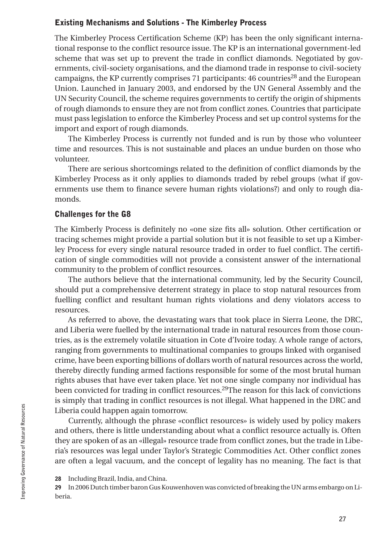#### Existing Mechanisms and Solutions - The Kimberley Process

The Kimberley Process Certification Scheme (KP) has been the only significant international response to the conflict resource issue. The KP is an international government-led scheme that was set up to prevent the trade in conflict diamonds. Negotiated by governments, civil-society organisations, and the diamond trade in response to civil-society campaigns, the KP currently comprises 71 participants:  $46$  countries<sup>28</sup> and the European Union. Launched in January 2003, and endorsed by the UN General Assembly and the UN Security Council, the scheme requires governments to certify the origin of shipments of rough diamonds to ensure they are not from conflict zones. Countries that participate must pass legislation to enforce the Kimberley Process and set up control systems for the import and export of rough diamonds.

The Kimberley Process is currently not funded and is run by those who volunteer time and resources. This is not sustainable and places an undue burden on those who volunteer.

There are serious shortcomings related to the definition of conflict diamonds by the Kimberley Process as it only applies to diamonds traded by rebel groups (what if governments use them to finance severe human rights violations?) and only to rough diamonds.

#### Challenges for the G8

The Kimberly Process is definitely no «one size fits all» solution. Other certification or tracing schemes might provide a partial solution but it is not feasible to set up a Kimberley Process for every single natural resource traded in order to fuel conflict. The certification of single commodities will not provide a consistent answer of the international community to the problem of conflict resources.

The authors believe that the international community, led by the Security Council, should put a comprehensive deterrent strategy in place to stop natural resources from fuelling conflict and resultant human rights violations and deny violators access to resources.

As referred to above, the devastating wars that took place in Sierra Leone, the DRC, and Liberia were fuelled by the international trade in natural resources from those countries, as is the extremely volatile situation in Cote d'Ivoire today. A whole range of actors, ranging from governments to multinational companies to groups linked with organised crime, have been exporting billions of dollars worth of natural resources across the world, thereby directly funding armed factions responsible for some of the most brutal human rights abuses that have ever taken place. Yet not one single company nor individual has been convicted for trading in conflict resources.29The reason for this lack of convictions is simply that trading in conflict resources is not illegal. What happened in the DRC and Liberia could happen again tomorrow.

Currently, although the phrase «conflict resources» is widely used by policy makers and others, there is little understanding about what a conflict resource actually is. Often they are spoken of as an «illegal» resource trade from conflict zones, but the trade in Liberia's resources was legal under Taylor's Strategic Commodities Act. Other conflict zones are often a legal vacuum, and the concept of legality has no meaning. The fact is that

29 In 2006 Dutch timber baron Gus Kouwenhoven was convicted of breaking the UN arms embargo on Liberia.

<sup>28</sup> Including Brazil, India, and China.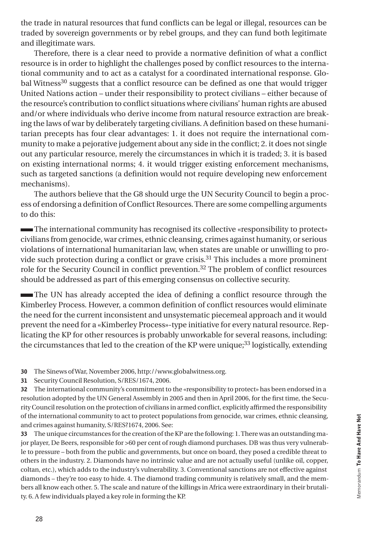the trade in natural resources that fund conflicts can be legal or illegal, resources can be traded by sovereign governments or by rebel groups, and they can fund both legitimate and illegitimate wars.

Therefore, there is a clear need to provide a normative definition of what a conflict resource is in order to highlight the challenges posed by conflict resources to the international community and to act as a catalyst for a coordinated international response. Global Witness<sup>30</sup> suggests that a conflict resource can be defined as one that would trigger United Nations action – under their responsibility to protect civilians – either because of the resource's contribution to conflict situations where civilians' human rights are abused and/or where individuals who derive income from natural resource extraction are breaking the laws of war by deliberately targeting civilians. A definition based on these humanitarian precepts has four clear advantages: 1. it does not require the international community to make a pejorative judgement about any side in the conflict; 2. it does not single out any particular resource, merely the circumstances in which it is traded; 3. it is based on existing international norms; 4. it would trigger existing enforcement mechanisms, such as targeted sanctions (a definition would not require developing new enforcement mechanisms).

The authors believe that the G8 should urge the UN Security Council to begin a process of endorsing a definition of Conflict Resources. There are some compelling arguments to do this:

 The international community has recognised its collective «responsibility to protect» civilians from genocide, war crimes, ethnic cleansing, crimes against humanity, or serious violations of international humanitarian law, when states are unable or unwilling to provide such protection during a conflict or grave crisis.31 This includes a more prominent role for the Security Council in conflict prevention.32 The problem of conflict resources should be addressed as part of this emerging consensus on collective security.

 The UN has already accepted the idea of defining a conflict resource through the Kimberley Process. However, a common definition of conflict resources would eliminate the need for the current inconsistent and unsystematic piecemeal approach and it would prevent the need for a «Kimberley Process»-type initiative for every natural resource. Replicating the KP for other resources is probably unworkable for several reasons, including: the circumstances that led to the creation of the KP were unique;<sup>33</sup> logistically, extending

30 The Sinews of War, November 2006, http://www.globalwitness.org.

31 Security Council Resolution, S/RES/1674, 2006.

32 The international community's commitment to the «responsibility to protect» has been endorsed in a resolution adopted by the UN General Assembly in 2005 and then in April 2006, for the first time, the Security Council resolution on the protection of civilians in armed conflict, explicitly affirmed the responsibility of the international community to act to protect populations from genocide, war crimes, ethnic cleansing, and crimes against humanity, S/RES?1674, 2006. See:

33 The unique circumstances for the creation of the KP are the following: 1. There was an outstanding major player, De Beers, responsible for >60 per cent of rough diamond purchases. DB was thus very vulnerable to pressure – both from the public and governments, but once on board, they posed a credible threat to others in the industry. 2. Diamonds have no intrinsic value and are not actually useful (unlike oil, copper, coltan, etc.), which adds to the industry's vulnerability. 3. Conventional sanctions are not effective against diamonds – they're too easy to hide. 4. The diamond trading community is relatively small, and the members all know each other. 5. The scale and nature of the killings in Africa were extraordinary in their brutality. 6. A few individuals played a key role in forming the KP.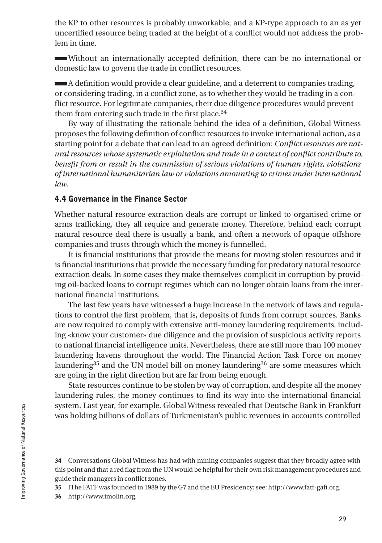the KP to other resources is probably unworkable; and a KP-type approach to an as yet uncertified resource being traded at the height of a conflict would not address the problem in time.

 Without an internationally accepted definition, there can be no international or domestic law to govern the trade in conflict resources.

 A definition would provide a clear guideline, and a deterrent to companies trading, or considering trading, in a conflict zone, as to whether they would be trading in a conflict resource. For legitimate companies, their due diligence procedures would prevent them from entering such trade in the first place.<sup>34</sup>

By way of illustrating the rationale behind the idea of a definition, Global Witness proposes the following definition of conflict resources to invoke international action, as a starting point for a debate that can lead to an agreed definition: *Conflict resources are natural resources whose systematic exploitation and trade in a context of conflict contribute to, benefit from or result in the commission of serious violations of human rights, violations of international humanitarian law or violations amounting to crimes under international law.*

#### 4.4 Governance in the Finance Sector

Whether natural resource extraction deals are corrupt or linked to organised crime or arms trafficking, they all require and generate money. Therefore, behind each corrupt natural resource deal there is usually a bank, and often a network of opaque offshore companies and trusts through which the money is funnelled.

It is financial institutions that provide the means for moving stolen resources and it is financial institutions that provide the necessary funding for predatory natural resource extraction deals. In some cases they make themselves complicit in corruption by providing oil-backed loans to corrupt regimes which can no longer obtain loans from the international financial institutions.

The last few years have witnessed a huge increase in the network of laws and regulations to control the first problem, that is, deposits of funds from corrupt sources. Banks are now required to comply with extensive anti-money laundering requirements, including «know your customer» due diligence and the provision of suspicious activity reports to national financial intelligence units. Nevertheless, there are still more than 100 money laundering havens throughout the world. The Financial Action Task Force on money laundering<sup>35</sup> and the UN model bill on money laundering<sup>36</sup> are some measures which are going in the right direction but are far from being enough.

State resources continue to be stolen by way of corruption, and despite all the money laundering rules, the money continues to find its way into the international financial system. Last year, for example, Global Witness revealed that Deutsche Bank in Frankfurt was holding billions of dollars of Turkmenistan's public revenues in accounts controlled

34 Conversations Global Witness has had with mining companies suggest that they broadly agree with this point and that a red flag from the UN would be helpful for their own risk management procedures and guide their managers in conflict zones.

35 IThe FATF was founded in 1989 by the G7 and the EU Presidency; see: http://www.fatf-gafi.org.

36 http://www.imolin.org.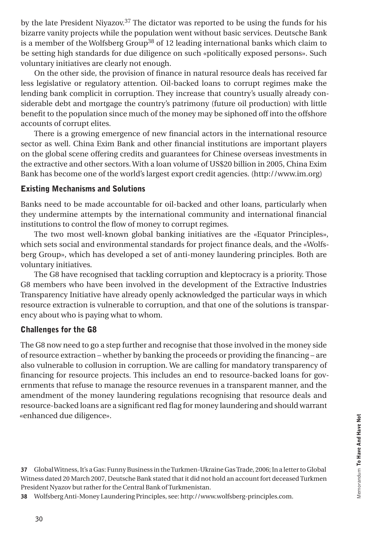by the late President Niyazov.37 The dictator was reported to be using the funds for his bizarre vanity projects while the population went without basic services. Deutsche Bank is a member of the Wolfsberg Group<sup>38</sup> of 12 leading international banks which claim to be setting high standards for due diligence on such «politically exposed persons». Such voluntary initiatives are clearly not enough.

On the other side, the provision of finance in natural resource deals has received far less legislative or regulatory attention. Oil-backed loans to corrupt regimes make the lending bank complicit in corruption. They increase that country's usually already considerable debt and mortgage the country's patrimony (future oil production) with little benefit to the population since much of the money may be siphoned off into the offshore accounts of corrupt elites.

There is a growing emergence of new financial actors in the international resource sector as well. China Exim Bank and other financial institutions are important players on the global scene offering credits and guarantees for Chinese overseas investments in the extractive and other sectors. With a loan volume of US\$20 billion in 2005, China Exim Bank has become one of the world's largest export credit agencies. (http://www.im.org)

#### Existing Mechanisms and Solutions

Banks need to be made accountable for oil-backed and other loans, particularly when they undermine attempts by the international community and international financial institutions to control the flow of money to corrupt regimes.

The two most well-known global banking initiatives are the «Equator Principles», which sets social and environmental standards for project finance deals, and the «Wolfsberg Group», which has developed a set of anti-money laundering principles. Both are voluntary initiatives.

The G8 have recognised that tackling corruption and kleptocracy is a priority. Those G8 members who have been involved in the development of the Extractive Industries Transparency Initiative have already openly acknowledged the particular ways in which resource extraction is vulnerable to corruption, and that one of the solutions is transparency about who is paying what to whom.

#### Challenges for the G8

The G8 now need to go a step further and recognise that those involved in the money side of resource extraction – whether by banking the proceeds or providing the financing – are also vulnerable to collusion in corruption. We are calling for mandatory transparency of financing for resource projects. This includes an end to resource-backed loans for governments that refuse to manage the resource revenues in a transparent manner, and the amendment of the money laundering regulations recognising that resource deals and resource-backed loans are a significant red flag for money laundering and should warrant «enhanced due diligence».

37 Global Witness, It's a Gas: Funny Business in the Turkmen-Ukraine Gas Trade, 2006; In a letter to Global Witness dated 20 March 2007, Deutsche Bank stated that it did not hold an account fort deceased Turkmen President Nyazov but rather for the Central Bank of Turkmenistan.

38 Wolfsberg Anti-Money Laundering Principles, see: http://www.wolfsberg-principles.com.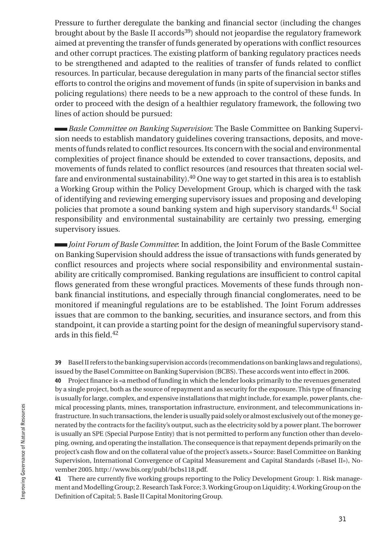Pressure to further deregulate the banking and financial sector (including the changes brought about by the Basle II accords<sup>39</sup>) should not jeopardise the regulatory framework aimed at preventing the transfer of funds generated by operations with conflict resources and other corrupt practices. The existing platform of banking regulatory practices needs to be strengthened and adapted to the realities of transfer of funds related to conflict resources. In particular, because deregulation in many parts of the financial sector stifles efforts to control the origins and movement of funds (in spite of supervision in banks and policing regulations) there needs to be a new approach to the control of these funds. In order to proceed with the design of a healthier regulatory framework, the following two lines of action should be pursued:

*Basle Committee on Banking Supervision*: The Basle Committee on Banking Supervision needs to establish mandatory guidelines covering transactions, deposits, and movements of funds related to conflict resources. Its concern with the social and environmental complexities of project finance should be extended to cover transactions, deposits, and movements of funds related to conflict resources (and resources that threaten social welfare and environmental sustainability).40 One way to get started in this area is to establish a Working Group within the Policy Development Group, which is charged with the task of identifying and reviewing emerging supervisory issues and proposing and developing policies that promote a sound banking system and high supervisory standards.41 Social responsibility and environmental sustainability are certainly two pressing, emerging supervisory issues.

*Joint Forum of Basle Committee*: In addition, the Joint Forum of the Basle Committee on Banking Supervision should address the issue of transactions with funds generated by conflict resources and projects where social responsibility and environmental sustainability are critically compromised. Banking regulations are insufficient to control capital flows generated from these wrongful practices. Movements of these funds through nonbank financial institutions, and especially through financial conglomerates, need to be monitored if meaningful regulations are to be established. The Joint Forum addresses issues that are common to the banking, securities, and insurance sectors, and from this standpoint, it can provide a starting point for the design of meaningful supervisory standards in this field.<sup>42</sup>

39 Basel II refers to the banking supervision accords (recommendations on banking laws and regulations), issued by the Basel Committee on Banking Supervision (BCBS). These accords went into effect in 2006.

40 Project finance is «a method of funding in which the lender looks primarily to the revenues generated by a single project, both as the source of repayment and as security for the exposure. This type of financing is usually for large, complex, and expensive installations that might include, for example, power plants, chemical processing plants, mines, transportation infrastructure, environment, and telecommunications infrastructure. In such transactions, the lender is usually paid solely or almost exclusively out of the money generated by the contracts for the facility's output, such as the electricity sold by a power plant. The borrower is usually an SPE (Special Purpose Entity) that is not permitted to perform any function other than developing, owning, and operating the installation. The consequence is that repayment depends primarily on the project's cash flow and on the collateral value of the project's assets.» Source: Basel Committee on Banking Supervision, International Convergence of Capital Measurement and Capital Standards («Basel II»), November 2005. http://www.bis.org/publ/bcbs118.pdf.

41 There are currently five working groups reporting to the Policy Development Group: 1. Risk management and Modelling Group; 2. Research Task Force; 3. Working Group on Liquidity; 4. Working Group on the Definition of Capital; 5. Basle II Capital Monitoring Group.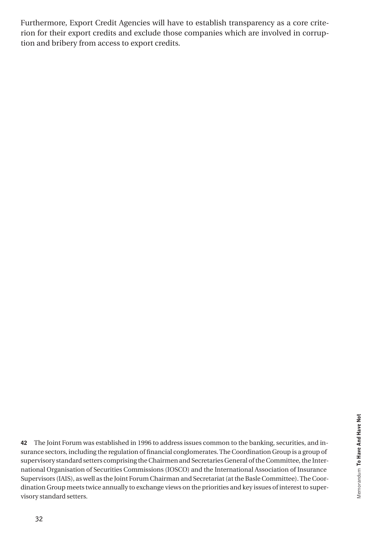Furthermore, Export Credit Agencies will have to establish transparency as a core criterion for their export credits and exclude those companies which are involved in corruption and bribery from access to export credits.

42 The Joint Forum was established in 1996 to address issues common to the banking, securities, and insurance sectors, including the regulation of financial conglomerates. The Coordination Group is a group of supervisory standard setters comprising the Chairmen and Secretaries General of the Committee, the International Organisation of Securities Commissions (IOSCO) and the International Association of Insurance Supervisors (IAIS), as well as the Joint Forum Chairman and Secretariat (at the Basle Committee). The Coordination Group meets twice annually to exchange views on the priorities and key issues of interest to supervisory standard setters.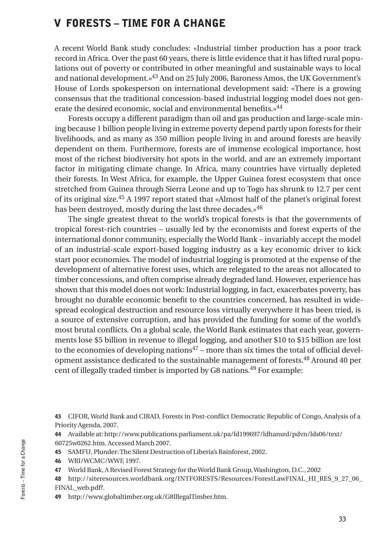## V FORESTS – TIME FOR A CHANGE

A recent World Bank study concludes: «Industrial timber production has a poor track record in Africa. Over the past 60 years, there is little evidence that it has lifted rural populations out of poverty or contributed in other meaningful and sustainable ways to local and national development.»43 And on 25 July 2006, Baroness Amos, the UK Government's House of Lords spokesperson on international development said: «There is a growing consensus that the traditional concession-based industrial logging model does not generate the desired economic, social and environmental benefits.»<sup>44</sup>

Forests occupy a different paradigm than oil and gas production and large-scale mining because 1 billion people living in extreme poverty depend partly upon forests for their livelihoods, and as many as 350 million people living in and around forests are heavily dependent on them. Furthermore, forests are of immense ecological importance, host most of the richest biodiversity hot spots in the world, and are an extremely important factor in mitigating climate change. In Africa, many countries have virtually depleted their forests. In West Africa, for example, the Upper Guinea forest ecosystem that once stretched from Guinea through Sierra Leone and up to Togo has shrunk to 12.7 per cent of its original size.45 A 1997 report stated that «Almost half of the planet's original forest has been destroyed, mostly during the last three decades.»<sup>46</sup>

The single greatest threat to the world's tropical forests is that the governments of tropical forest-rich countries – usually led by the economists and forest experts of the international donor community, especially the World Bank – invariably accept the model of an industrial-scale export-based logging industry as a key economic driver to kick start poor economies. The model of industrial logging is promoted at the expense of the development of alternative forest uses, which are relegated to the areas not allocated to timber concessions, and often comprise already degraded land. However, experience has shown that this model does not work: Industrial logging, in fact, exacerbates poverty, has brought no durable economic benefit to the countries concerned, has resulted in widespread ecological destruction and resource loss virtually everywhere it has been tried, is a source of extensive corruption, and has provided the funding for some of the world's most brutal conflicts. On a global scale, the World Bank estimates that each year, governments lose \$5 billion in revenue to illegal logging, and another \$10 to \$15 billion are lost to the economies of developing nations<sup>47</sup> – more than six times the total of official development assistance dedicated to the sustainable management of forests.48 Around 40 per cent of illegally traded timber is imported by G8 nations.49 For example:

43 CIFOR, World Bank and CIRAD, Forests in Post-conflict Democratic Republic of Congo, Analysis of a Priority Agenda, 2007.

44 Available at: http://www.publications.parliament.uk/pa/ld199697/ldhansrd/pdvn/lds06/text/ 60725w0262.htm. Accessed March 2007.

- 45 SAMFU, Plunder: The Silent Destruction of Liberia's Rainforest, 2002.
- 46 WRI/WCMC/WWF, 1997.

47 World Bank, A Revised Forest Strategy for the World Bank Group, Washington, D.C., 2002

- 48 http://siteresources.worldbank.org/INTFORESTS/Resources/ForestLawFINAL\_HI\_RES\_9\_27\_06\_ FINAL\_web.pdf?.
- 49 http://www.globaltimber.org.uk/G8IllegalTimber.htm.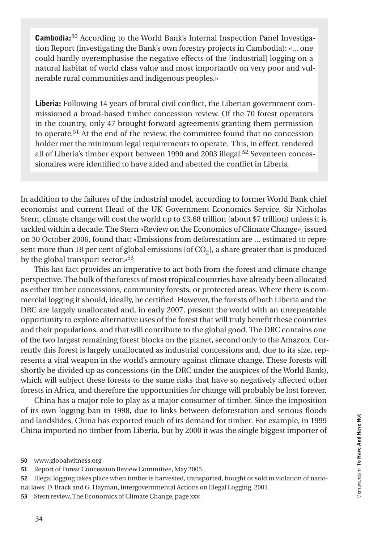Cambodia:50 According to the World Bank's Internal Inspection Panel Investigation Report (investigating the Bank's own forestry projects in Cambodia): «... one could hardly overemphasise the negative effects of the [industrial] logging on a natural habitat of world class value and most importantly on very poor and vulnerable rural communities and indigenous peoples.»

Liberia: Following 14 years of brutal civil conflict, the Liberian government commissioned a broad-based timber concession review. Of the 70 forest operators in the country, only 47 brought forward agreements granting them permission to operate.51 At the end of the review, the committee found that no concession holder met the minimum legal requirements to operate. This, in effect, rendered all of Liberia's timber export between 1990 and 2003 illegal.52 Seventeen concessionaires were identified to have aided and abetted the conflict in Liberia.

In addition to the failures of the industrial model, according to former World Bank chief economist and current Head of the UK Government Economics Service, Sir Nicholas Stern, climate change will cost the world up to £3.68 trillion (about \$7 trillion) unless it is tackled within a decade. The Stern «Review on the Economics of Climate Change», issued on 30 October 2006, found that: «Emissions from deforestation are ... estimated to represent more than 18 per cent of global emissions [of  $CO<sub>2</sub>$ ], a share greater than is produced by the global transport sector. $v^{53}$ 

This last fact provides an imperative to act both from the forest and climate change perspective. The bulk of the forests of most tropical countries have already been allocated as either timber concessions, community forests, or protected areas. Where there is commercial logging it should, ideally, be certified. However, the forests of both Liberia and the DRC are largely unallocated and, in early 2007, present the world with an unrepeatable opportunity to explore alternative uses of the forest that will truly benefit these countries and their populations, and that will contribute to the global good. The DRC contains one of the two largest remaining forest blocks on the planet, second only to the Amazon. Currently this forest is largely unallocated as industrial concessions and, due to its size, represents a vital weapon in the world's armoury against climate change. These forests will shortly be divided up as concessions (in the DRC under the auspices of the World Bank), which will subject these forests to the same risks that have so negatively affected other forests in Africa, and therefore the opportunities for change will probably be lost forever.

China has a major role to play as a major consumer of timber. Since the imposition of its own logging ban in 1998, due to links between deforestation and serious floods and landslides, China has exported much of its demand for timber. For example, in 1999 China imported no timber from Liberia, but by 2000 it was the single biggest importer of

<sup>50</sup> www.globalwitness.org

<sup>51</sup> Report of Forest Concession Review Committee, May 2005..

<sup>52</sup> Illegal logging takes place when timber is harvested, transported, bought or sold in violation of national laws; D. Brack and G. Hayman, Intergovernmental Actions on Illegal Logging, 2001.

<sup>53</sup> Stern review, The Economics of Climate Change, page xxv.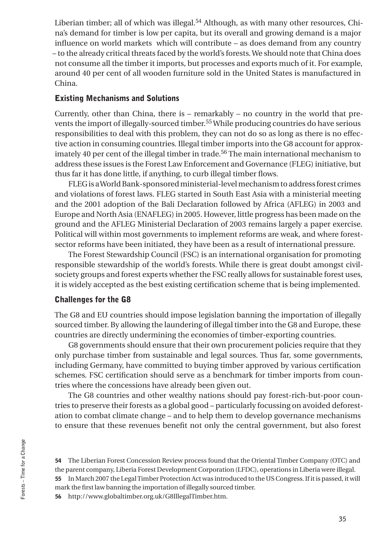Liberian timber; all of which was illegal.<sup>54</sup> Although, as with many other resources, China's demand for timber is low per capita, but its overall and growing demand is a major influence on world markets which will contribute – as does demand from any country – to the already critical threats faced by the world's forests. We should note that China does not consume all the timber it imports, but processes and exports much of it. For example, around 40 per cent of all wooden furniture sold in the United States is manufactured in China.

#### Existing Mechanisms and Solutions

Currently, other than China, there is – remarkably – no country in the world that prevents the import of illegally-sourced timber.55 While producing countries do have serious responsibilities to deal with this problem, they can not do so as long as there is no effective action in consuming countries. Illegal timber imports into the G8 account for approximately 40 per cent of the illegal timber in trade.56 The main international mechanism to address these issues is the Forest Law Enforcement and Governance (FLEG) initiative, but thus far it has done little, if anything, to curb illegal timber flows.

FLEG is a World Bank-sponsored ministerial-level mechanism to address forest crimes and violations of forest laws. FLEG started in South East Asia with a ministerial meeting and the 2001 adoption of the Bali Declaration followed by Africa (AFLEG) in 2003 and Europe and North Asia (ENAFLEG) in 2005. However, little progress has been made on the ground and the AFLEG Ministerial Declaration of 2003 remains largely a paper exercise. Political will within most governments to implement reforms are weak, and where forestsector reforms have been initiated, they have been as a result of international pressure.

The Forest Stewardship Council (FSC) is an international organisation for promoting responsible stewardship of the world's forests. While there is great doubt amongst civilsociety groups and forest experts whether the FSC really allows for sustainable forest uses, it is widely accepted as the best existing certification scheme that is being implemented.

#### Challenges for the G8

The G8 and EU countries should impose legislation banning the importation of illegally sourced timber. By allowing the laundering of illegal timber into the G8 and Europe, these countries are directly undermining the economies of timber-exporting countries.

G8 governments should ensure that their own procurement policies require that they only purchase timber from sustainable and legal sources. Thus far, some governments, including Germany, have committed to buying timber approved by various certification schemes. FSC certification should serve as a benchmark for timber imports from countries where the concessions have already been given out.

The G8 countries and other wealthy nations should pay forest-rich-but-poor countries to preserve their forests as a global good – particularly focussing on avoided deforestation to combat climate change – and to help them to develop governance mechanisms to ensure that these revenues benefit not only the central government, but also forest

54 The Liberian Forest Concession Review process found that the Oriental Timber Company (OTC) and the parent company, Liberia Forest Development Corporation (LFDC), operations in Liberia were illegal. 55 In March 2007 the Legal Timber Protection Act was introduced to the US Congress. If it is passed, it will mark the first law banning the importation of illegally sourced timber.

56 http://www.globaltimber.org.uk/G8IllegalTimber.htm.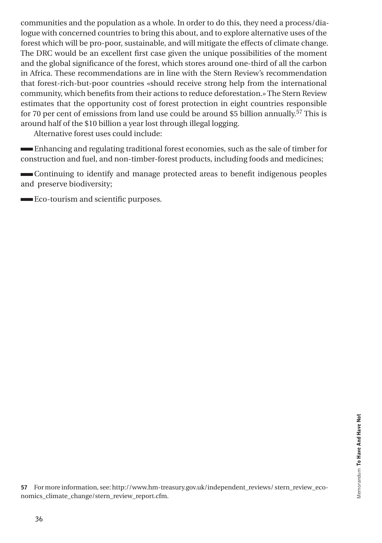communities and the population as a whole. In order to do this, they need a process/dialogue with concerned countries to bring this about, and to explore alternative uses of the forest which will be pro-poor, sustainable, and will mitigate the effects of climate change. The DRC would be an excellent first case given the unique possibilities of the moment and the global significance of the forest, which stores around one-third of all the carbon in Africa. These recommendations are in line with the Stern Review's recommendation that forest-rich-but-poor countries «should receive strong help from the international community, which benefits from their actions to reduce deforestation.» The Stern Review estimates that the opportunity cost of forest protection in eight countries responsible for 70 per cent of emissions from land use could be around \$5 billion annually.57 This is around half of the \$10 billion a year lost through illegal logging.

Alternative forest uses could include:

 Enhancing and regulating traditional forest economies, such as the sale of timber for construction and fuel, and non-timber-forest products, including foods and medicines;

 Continuing to identify and manage protected areas to benefit indigenous peoples and preserve biodiversity;

Eco-tourism and scientific purposes.

57 For more information, see: http://www.hm-treasury.gov.uk/independent\_reviews/ stern\_review\_economics\_climate\_change/stern\_review\_report.cfm.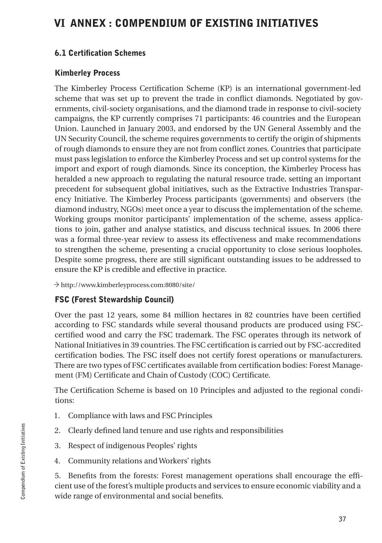## VI ANNEX : COMPENDIUM OF EXISTING INITIATIVES

#### 6.1 Certification Schemes

#### Kimberley Process

The Kimberley Process Certification Scheme (KP) is an international government-led scheme that was set up to prevent the trade in conflict diamonds. Negotiated by governments, civil-society organisations, and the diamond trade in response to civil-society campaigns, the KP currently comprises 71 participants: 46 countries and the European Union. Launched in January 2003, and endorsed by the UN General Assembly and the UN Security Council, the scheme requires governments to certify the origin of shipments of rough diamonds to ensure they are not from conflict zones. Countries that participate must pass legislation to enforce the Kimberley Process and set up control systems for the import and export of rough diamonds. Since its conception, the Kimberley Process has heralded a new approach to regulating the natural resource trade, setting an important precedent for subsequent global initiatives, such as the Extractive Industries Transparency Initiative. The Kimberley Process participants (governments) and observers (the diamond industry, NGOs) meet once a year to discuss the implementation of the scheme. Working groups monitor participants' implementation of the scheme, assess applications to join, gather and analyse statistics, and discuss technical issues. In 2006 there was a formal three-year review to assess its effectiveness and make recommendations to strengthen the scheme, presenting a crucial opportunity to close serious loopholes. Despite some progress, there are still significant outstanding issues to be addressed to ensure the KP is credible and effective in practice.

◊ http://www.kimberleyprocess.com:8080/site/

## FSC (Forest Stewardship Council)

Over the past 12 years, some 84 million hectares in 82 countries have been certified according to FSC standards while several thousand products are produced using FSCcertified wood and carry the FSC trademark. The FSC operates through its network of National Initiatives in 39 countries. The FSC certification is carried out by FSC-accredited certification bodies. The FSC itself does not certify forest operations or manufacturers. There are two types of FSC certificates available from certification bodies: Forest Management (FM) Certificate and Chain of Custody (COC) Certificate.

The Certification Scheme is based on 10 Principles and adjusted to the regional conditions:

- 1. Compliance with laws and FSC Principles
- 2. Clearly defined land tenure and use rights and responsibilities
- 3. Respect of indigenous Peoples' rights
- 4. Community relations and Workers' rights

5. Benefits from the forests: Forest management operations shall encourage the efficient use of the forest's multiple products and services to ensure economic viability and a wide range of environmental and social benefits.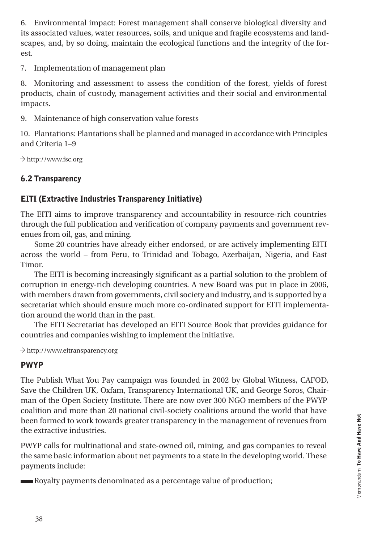6. Environmental impact: Forest management shall conserve biological diversity and its associated values, water resources, soils, and unique and fragile ecosystems and landscapes, and, by so doing, maintain the ecological functions and the integrity of the forest.

7. Implementation of management plan

8. Monitoring and assessment to assess the condition of the forest, yields of forest products, chain of custody, management activities and their social and environmental impacts.

9. Maintenance of high conservation value forests

10. Plantations: Plantations shall be planned and managed in accordance with Principles and Criteria 1–9

 $\rightarrow$  http://www.fsc.org

## 6.2 Transparency

## EITI (Extractive Industries Transparency Initiative)

The EITI aims to improve transparency and accountability in resource-rich countries through the full publication and verification of company payments and government revenues from oil, gas, and mining.

Some 20 countries have already either endorsed, or are actively implementing EITI across the world – from Peru, to Trinidad and Tobago, Azerbaijan, Nigeria, and East Timor.

The EITI is becoming increasingly significant as a partial solution to the problem of corruption in energy-rich developing countries. A new Board was put in place in 2006, with members drawn from governments, civil society and industry, and is supported by a secretariat which should ensure much more co-ordinated support for EITI implementation around the world than in the past.

The EITI Secretariat has developed an EITI Source Book that provides guidance for countries and companies wishing to implement the initiative.

 $\rightarrow$  http://www.eitransparency.org

## PWYP

The Publish What You Pay campaign was founded in 2002 by Global Witness, CAFOD, Save the Children UK, Oxfam, Transparency International UK, and George Soros, Chairman of the Open Society Institute. There are now over 300 NGO members of the PWYP coalition and more than 20 national civil-society coalitions around the world that have been formed to work towards greater transparency in the management of revenues from the extractive industries.

PWYP calls for multinational and state-owned oil, mining, and gas companies to reveal the same basic information about net payments to a state in the developing world. These payments include:

Royalty payments denominated as a percentage value of production;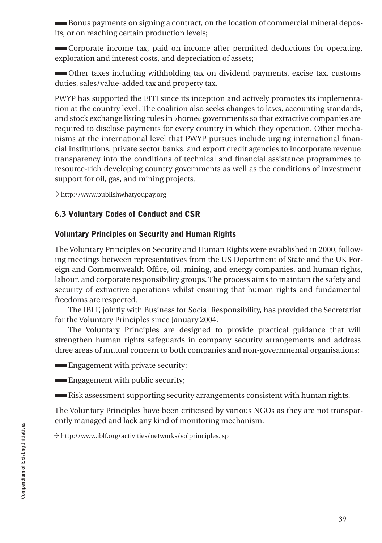Bonus payments on signing a contract, on the location of commercial mineral deposits, or on reaching certain production levels;

 Corporate income tax, paid on income after permitted deductions for operating, exploration and interest costs, and depreciation of assets;

 Other taxes including withholding tax on dividend payments, excise tax, customs duties, sales/value-added tax and property tax.

PWYP has supported the EITI since its inception and actively promotes its implementation at the country level. The coalition also seeks changes to laws, accounting standards, and stock exchange listing rules in «home» governments so that extractive companies are required to disclose payments for every country in which they operation. Other mechanisms at the international level that PWYP pursues include urging international financial institutions, private sector banks, and export credit agencies to incorporate revenue transparency into the conditions of technical and financial assistance programmes to resource-rich developing country governments as well as the conditions of investment support for oil, gas, and mining projects.

 $\rightarrow$  http://www.publishwhatyoupay.org

### 6.3 Voluntary Codes of Conduct and CSR

#### Voluntary Principles on Security and Human Rights

The Voluntary Principles on Security and Human Rights were established in 2000, following meetings between representatives from the US Department of State and the UK Foreign and Commonwealth Office, oil, mining, and energy companies, and human rights, labour, and corporate responsibility groups. The process aims to maintain the safety and security of extractive operations whilst ensuring that human rights and fundamental freedoms are respected.

The IBLF, jointly with Business for Social Responsibility, has provided the Secretariat for the Voluntary Principles since January 2004.

The Voluntary Principles are designed to provide practical guidance that will strengthen human rights safeguards in company security arrangements and address three areas of mutual concern to both companies and non-governmental organisations:

**Engagement with private security;** 

**Engagement with public security;** 

Risk assessment supporting security arrangements consistent with human rights.

The Voluntary Principles have been criticised by various NGOs as they are not transparently managed and lack any kind of monitoring mechanism.

 $\rightarrow$  http://www.iblf.org/activities/networks/volprinciples.jsp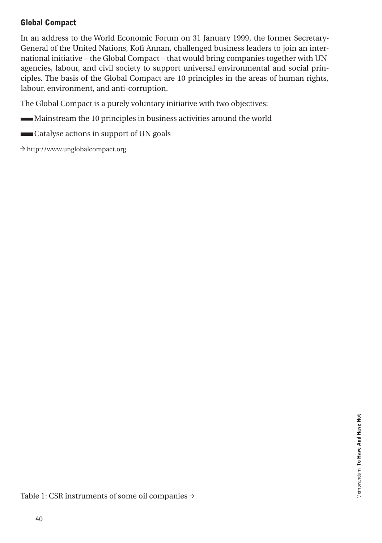## Global Compact

In an address to the World Economic Forum on 31 January 1999, the former Secretary-General of the United Nations, Kofi Annan, challenged business leaders to join an international initiative – the Global Compact – that would bring companies together with UN agencies, labour, and civil society to support universal environmental and social principles. The basis of the Global Compact are 10 principles in the areas of human rights, labour, environment, and anti-corruption.

The Global Compact is a purely voluntary initiative with two objectives:

- Mainstream the 10 principles in business activities around the world
- Catalyse actions in support of UN goals
- $\rightarrow$  http://www.unglobalcompact.org

Table 1: CSR instruments of some oil companies  $\rightarrow$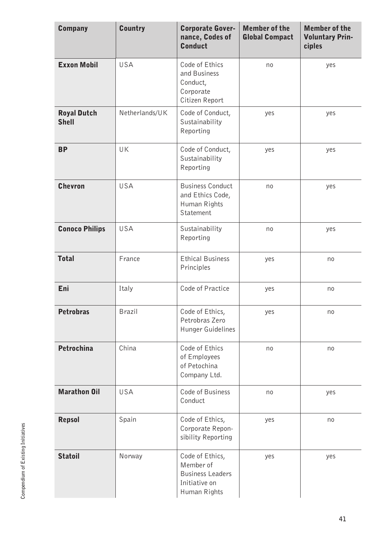| <b>Company</b>                     | <b>Country</b> | <b>Corporate Gover-</b><br>nance, Codes of<br><b>Conduct</b>                             | <b>Member of the</b><br><b>Global Compact</b> | <b>Member of the</b><br><b>Voluntary Prin-</b><br>ciples |
|------------------------------------|----------------|------------------------------------------------------------------------------------------|-----------------------------------------------|----------------------------------------------------------|
| <b>Exxon Mobil</b>                 | USA            | Code of Ethics<br>and Business<br>Conduct,<br>Corporate<br>Citizen Report                | no                                            | yes                                                      |
| <b>Royal Dutch</b><br><b>Shell</b> | Netherlands/UK | Code of Conduct,<br>Sustainability<br>Reporting                                          | yes                                           | yes                                                      |
| <b>BP</b>                          | UK             | Code of Conduct,<br>Sustainability<br>Reporting                                          | yes                                           | yes                                                      |
| <b>Chevron</b>                     | USA            | <b>Business Conduct</b><br>and Ethics Code,<br>Human Rights<br><b>Statement</b>          | no                                            | yes                                                      |
| <b>Conoco Philips</b>              | USA            | Sustainability<br>Reporting                                                              | no                                            | yes                                                      |
| <b>Total</b>                       | France         | <b>Ethical Business</b><br>Principles                                                    | yes                                           | no                                                       |
| Eni                                | Italy          | Code of Practice                                                                         | yes                                           | no                                                       |
| <b>Petrobras</b>                   | Brazil         | Code of Ethics,<br>Petrobras Zero<br>Hunger Guidelines                                   | yes                                           | no                                                       |
| Petrochina                         | China          | Code of Ethics<br>of Employees<br>of Petochina<br>Company Ltd.                           | no                                            | no                                                       |
| <b>Marathon Oil</b>                | USA            | Code of Business<br>Conduct                                                              | no                                            | yes                                                      |
| <b>Repsol</b>                      | Spain          | Code of Ethics,<br>Corporate Repon-<br>sibility Reporting                                | yes                                           | no                                                       |
| <b>Statoil</b>                     | Norway         | Code of Ethics,<br>Member of<br><b>Business Leaders</b><br>Initiative on<br>Human Rights | yes                                           | yes                                                      |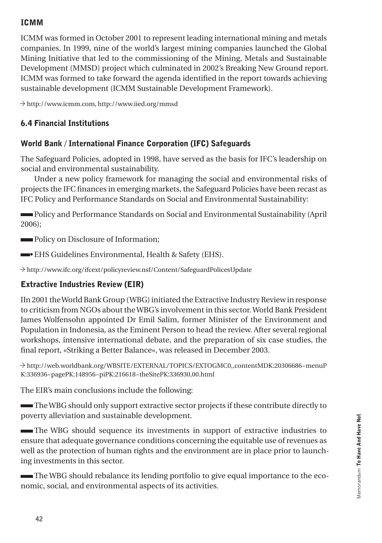## ICMM

ICMM was formed in October 2001 to represent leading international mining and metals companies. In 1999, nine of the world's largest mining companies launched the Global Mining Initiative that led to the commissioning of the Mining, Metals and Sustainable Development (MMSD) project which culminated in 2002's Breaking New Ground report. ICMM was formed to take forward the agenda identified in the report towards achieving sustainable development (ICMM Sustainable Development Framework).

◊ http://www.icmm.com, http://www.iied.org/mmsd

## 6.4 Financial Institutions

## World Bank / International Finance Corporation (IFC) Safeguards

The Safeguard Policies, adopted in 1998, have served as the basis for IFC's leadership on social and environmental sustainability.

Under a new policy framework for managing the social and environmental risks of projects the IFC finances in emerging markets, the Safeguard Policies have been recast as IFC Policy and Performance Standards on Social and Environmental Sustainability:

 Policy and Performance Standards on Social and Environmental Sustainability (April 2006);

**Policy on Disclosure of Information;** 

• EHS Guidelines Environmental, Health & Safety (EHS).

 $\rightarrow$  http://www.ifc.org/ifcext/policyreview.nsf/Content/SafeguardPolicesUpdate

## Extractive Industries Review (EIR)

IIn 2001 the World Bank Group (WBG) initiated the Extractive Industry Review in response to criticism from NGOs about the WBG's involvement in this sector. World Bank President James Wolfensohn appointed Dr Emil Salim, former Minister of the Environment and Population in Indonesia, as the Eminent Person to head the review. After several regional workshops, intensive international debate, and the preparation of six case studies, the final report, «Striking a Better Balance», was released in December 2003.

◊ http://web.worldbank.org/WBSITE/EXTERNAL/TOPICS/EXTOGMC0,,contentMDK:20306686~menuP K:336936~pagePK:148956~piPK:216618~theSitePK:336930,00.html

The EIR's main conclusions include the following:

 The WBG should only support extractive sector projects if these contribute directly to poverty alleviation and sustainable development.

 The WBG should sequence its investments in support of extractive industries to ensure that adequate governance conditions concerning the equitable use of revenues as well as the protection of human rights and the environment are in place prior to launching investments in this sector.

 The WBG should rebalance its lending portfolio to give equal importance to the economic, social, and environmental aspects of its activities.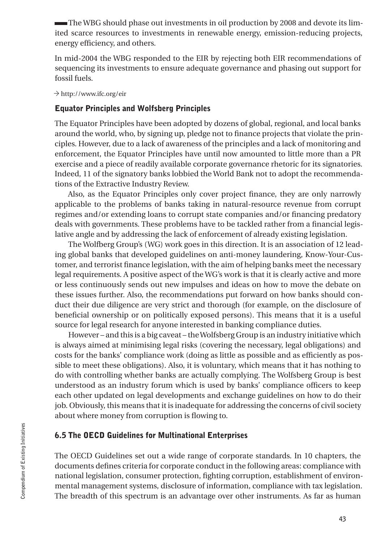The WBG should phase out investments in oil production by 2008 and devote its limited scarce resources to investments in renewable energy, emission-reducing projects, energy efficiency, and others.

In mid-2004 the WBG responded to the EIR by rejecting both EIR recommendations of sequencing its investments to ensure adequate governance and phasing out support for fossil fuels.

 $\rightarrow$  http://www.ifc.org/eir

#### Equator Principles and Wolfsberg Principles

The Equator Principles have been adopted by dozens of global, regional, and local banks around the world, who, by signing up, pledge not to finance projects that violate the principles. However, due to a lack of awareness of the principles and a lack of monitoring and enforcement, the Equator Principles have until now amounted to little more than a PR exercise and a piece of readily available corporate governance rhetoric for its signatories. Indeed, 11 of the signatory banks lobbied the World Bank not to adopt the recommendations of the Extractive Industry Review.

Also, as the Equator Principles only cover project finance, they are only narrowly applicable to the problems of banks taking in natural-resource revenue from corrupt regimes and/or extending loans to corrupt state companies and/or financing predatory deals with governments. These problems have to be tackled rather from a financial legislative angle and by addressing the lack of enforcement of already existing legislation.

The Wolfberg Group's (WG) work goes in this direction. It is an association of 12 leading global banks that developed guidelines on anti-money laundering, Know-Your-Customer, and terrorist finance legislation, with the aim of helping banks meet the necessary legal requirements. A positive aspect of the WG's work is that it is clearly active and more or less continuously sends out new impulses and ideas on how to move the debate on these issues further. Also, the recommendations put forward on how banks should conduct their due diligence are very strict and thorough (for example, on the disclosure of beneficial ownership or on politically exposed persons). This means that it is a useful source for legal research for anyone interested in banking compliance duties.

However – and this is a big caveat – the Wolfsberg Group is an industry initiative which is always aimed at minimising legal risks (covering the necessary, legal obligations) and costs for the banks' compliance work (doing as little as possible and as efficiently as possible to meet these obligations). Also, it is voluntary, which means that it has nothing to do with controlling whether banks are actually complying. The Wolfsberg Group is best understood as an industry forum which is used by banks' compliance officers to keep each other updated on legal developments and exchange guidelines on how to do their job. Obviously, this means that it is inadequate for addressing the concerns of civil society about where money from corruption is flowing to.

#### 6.5 The OECD Guidelines for Multinational Enterprises

The OECD Guidelines set out a wide range of corporate standards. In 10 chapters, the documents defines criteria for corporate conduct in the following areas: compliance with national legislation, consumer protection, fighting corruption, establishment of environmental management systems, disclosure of information, compliance with tax legislation. The breadth of this spectrum is an advantage over other instruments. As far as human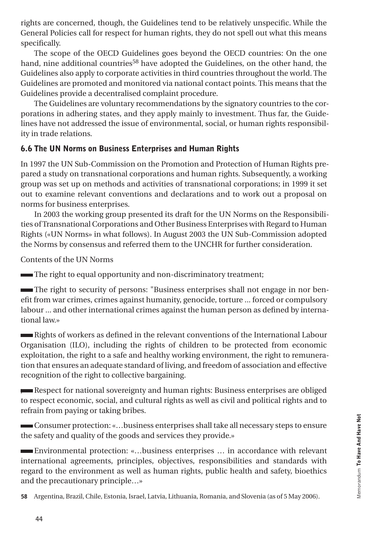rights are concerned, though, the Guidelines tend to be relatively unspecific. While the General Policies call for respect for human rights, they do not spell out what this means specifically.

The scope of the OECD Guidelines goes beyond the OECD countries: On the one hand, nine additional countries<sup>58</sup> have adopted the Guidelines, on the other hand, the Guidelines also apply to corporate activities in third countries throughout the world. The Guidelines are promoted and monitored via national contact points. This means that the Guidelines provide a decentralised complaint procedure.

The Guidelines are voluntary recommendations by the signatory countries to the corporations in adhering states, and they apply mainly to investment. Thus far, the Guidelines have not addressed the issue of environmental, social, or human rights responsibility in trade relations.

## 6.6 The UN Norms on Business Enterprises and Human Rights

In 1997 the UN Sub-Commission on the Promotion and Protection of Human Rights prepared a study on transnational corporations and human rights. Subsequently, a working group was set up on methods and activities of transnational corporations; in 1999 it set out to examine relevant conventions and declarations and to work out a proposal on norms for business enterprises.

In 2003 the working group presented its draft for the UN Norms on the Responsibilities of Transnational Corporations and Other Business Enterprises with Regard to Human Rights («UN Norms» in what follows). In August 2003 the UN Sub-Commission adopted the Norms by consensus and referred them to the UNCHR for further consideration.

Contents of the UN Norms

The right to equal opportunity and non-discriminatory treatment;

 The right to security of persons: "Business enterprises shall not engage in nor benefit from war crimes, crimes against humanity, genocide, torture ... forced or compulsory labour ... and other international crimes against the human person as defined by international law.»

 Rights of workers as defined in the relevant conventions of the International Labour Organisation (ILO), including the rights of children to be protected from economic exploitation, the right to a safe and healthy working environment, the right to remuneration that ensures an adequate standard of living, and freedom of association and effective recognition of the right to collective bargaining.

; Respect for national sovereignty and human rights: Business enterprises are obliged to respect economic, social, and cultural rights as well as civil and political rights and to refrain from paying or taking bribes.

 Consumer protection: «…business enterprises shall take all necessary steps to ensure the safety and quality of the goods and services they provide.»

 Environmental protection: «…business enterprises … in accordance with relevant international agreements, principles, objectives, responsibilities and standards with regard to the environment as well as human rights, public health and safety, bioethics and the precautionary principle…»

58 Argentina, Brazil, Chile, Estonia, Israel, Latvia, Lithuania, Romania, and Slovenia (as of 5 May 2006).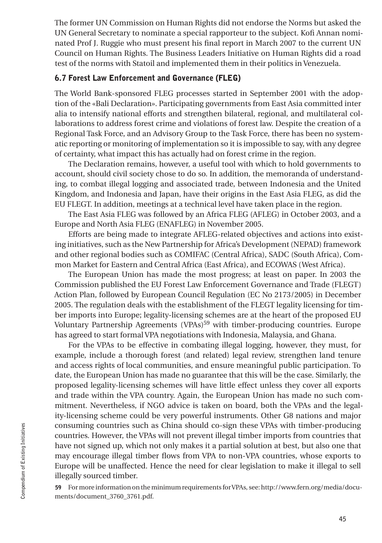The former UN Commission on Human Rights did not endorse the Norms but asked the UN General Secretary to nominate a special rapporteur to the subject. Kofi Annan nominated Prof J. Ruggie who must present his final report in March 2007 to the current UN Council on Human Rights. The Business Leaders Initiative on Human Rights did a road test of the norms with Statoil and implemented them in their politics in Venezuela.

#### 6.7 Forest Law Enforcement and Governance (FLEG)

The World Bank-sponsored FLEG processes started in September 2001 with the adoption of the «Bali Declaration». Participating governments from East Asia committed inter alia to intensify national efforts and strengthen bilateral, regional, and multilateral collaborations to address forest crime and violations of forest law. Despite the creation of a Regional Task Force, and an Advisory Group to the Task Force, there has been no systematic reporting or monitoring of implementation so it is impossible to say, with any degree of certainty, what impact this has actually had on forest crime in the region.

The Declaration remains, however, a useful tool with which to hold governments to account, should civil society chose to do so. In addition, the memoranda of understanding, to combat illegal logging and associated trade, between Indonesia and the United Kingdom, and Indonesia and Japan, have their origins in the East Asia FLEG, as did the EU FLEGT. In addition, meetings at a technical level have taken place in the region.

The East Asia FLEG was followed by an Africa FLEG (AFLEG) in October 2003, and a Europe and North Asia FLEG (ENAFLEG) in November 2005.

Efforts are being made to integrate AFLEG-related objectives and actions into existing initiatives, such as the New Partnership for Africa's Development (NEPAD) framework and other regional bodies such as COMIFAC (Central Africa), SADC (South Africa), Common Market for Eastern and Central Africa (East Africa), and ECOWAS (West Africa).

The European Union has made the most progress; at least on paper. In 2003 the Commission published the EU Forest Law Enforcement Governance and Trade (FLEGT) Action Plan, followed by European Council Regulation (EC No 2173/2005) in December 2005. The regulation deals with the establishment of the FLEGT legality licensing for timber imports into Europe; legality-licensing schemes are at the heart of the proposed EU Voluntary Partnership Agreements (VPAs)<sup>59</sup> with timber-producing countries. Europe has agreed to start formal VPA negotiations with Indonesia, Malaysia, and Ghana.

For the VPAs to be effective in combating illegal logging, however, they must, for example, include a thorough forest (and related) legal review, strengthen land tenure and access rights of local communities, and ensure meaningful public participation. To date, the European Union has made no guarantee that this will be the case. Similarly, the proposed legality-licensing schemes will have little effect unless they cover all exports and trade within the VPA country. Again, the European Union has made no such commitment. Nevertheless, if NGO advice is taken on board, both the VPAs and the legality-licensing scheme could be very powerful instruments. Other G8 nations and major consuming countries such as China should co-sign these VPAs with timber-producing countries. However, the VPAs will not prevent illegal timber imports from countries that have not signed up, which not only makes it a partial solution at best, but also one that may encourage illegal timber flows from VPA to non-VPA countries, whose exports to Europe will be unaffected. Hence the need for clear legislation to make it illegal to sell illegally sourced timber.

59 For more information on the minimum requirements for VPAs, see: http://www.fern.org/media/documents/document\_3760\_3761.pdf.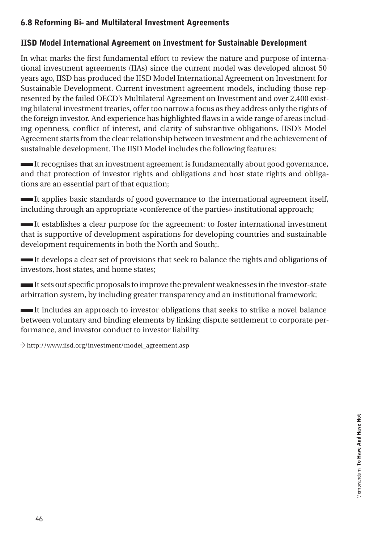## 6.8 Reforming Bi- and Multilateral Investment Agreements

## IISD Model International Agreement on Investment for Sustainable Development

In what marks the first fundamental effort to review the nature and purpose of international investment agreements (IIAs) since the current model was developed almost 50 years ago, IISD has produced the IISD Model International Agreement on Investment for Sustainable Development. Current investment agreement models, including those represented by the failed OECD's Multilateral Agreement on Investment and over 2,400 existing bilateral investment treaties, offer too narrow a focus as they address only the rights of the foreign investor. And experience has highlighted flaws in a wide range of areas including openness, conflict of interest, and clarity of substantive obligations. IISD's Model Agreement starts from the clear relationship between investment and the achievement of sustainable development. The IISD Model includes the following features:

 It recognises that an investment agreement is fundamentally about good governance, and that protection of investor rights and obligations and host state rights and obligations are an essential part of that equation;

 It applies basic standards of good governance to the international agreement itself, including through an appropriate «conference of the parties» institutional approach;

 It establishes a clear purpose for the agreement: to foster international investment that is supportive of development aspirations for developing countries and sustainable development requirements in both the North and South;.

 It develops a clear set of provisions that seek to balance the rights and obligations of investors, host states, and home states;

 It sets out specific proposals to improve the prevalent weaknesses in the investor-state arbitration system, by including greater transparency and an institutional framework;

 It includes an approach to investor obligations that seeks to strike a novel balance between voluntary and binding elements by linking dispute settlement to corporate performance, and investor conduct to investor liability.

◊ http://www.iisd.org/investment/model\_agreement.asp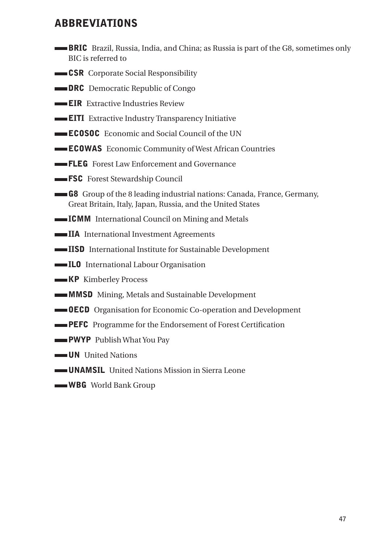## ABBREVIATIONS

- BRIC Brazil, Russia, India, and China; as Russia is part of the G8, sometimes only BIC is referred to
- **CSR** Corporate Social Responsibility
- **DRC** Democratic Republic of Congo
- **EIR** Extractive Industries Review
- **EITI** Extractive Industry Transparency Initiative
- **ECOSOC** Economic and Social Council of the UN
- **ECOWAS** Economic Community of West African Countries
- **FLEG** Forest Law Enforcement and Governance
- **FSC** Forest Stewardship Council
- G8 Group of the 8 leading industrial nations: Canada, France, Germany, Great Britain, Italy, Japan, Russia, and the United States
- **ICMM** International Council on Mining and Metals
- IIA International Investment Agreements
- IISD International Institute for Sustainable Development
- ILO International Labour Organisation
- **KP** Kimberley Process
- **MMSD** Mining, Metals and Sustainable Development
- OECD Organisation for Economic Co-operation and Development
- **PEFC** Programme for the Endorsement of Forest Certification
- **PWYP** Publish What You Pay
- **UN** United Nations
- UNAMSIL United Nations Mission in Sierra Leone
- WBG World Bank Group